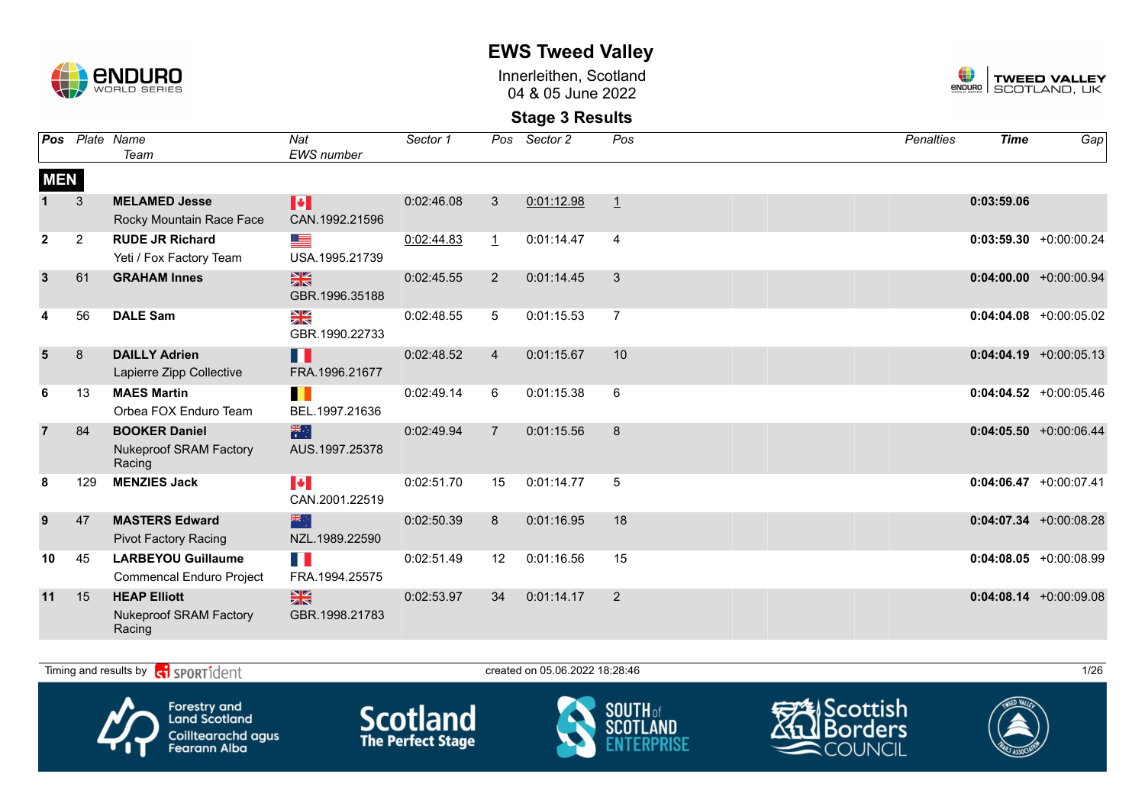

Innerleithen, Scotland 04 & 05 June 2022



| Pos            |                | Plate Name<br>Team                                              | Nat<br>EWS number                       | Sector 1   | Pos            | Sector 2   | Pos            | <b>Penalties</b> | <b>Time</b> | Gap                       |
|----------------|----------------|-----------------------------------------------------------------|-----------------------------------------|------------|----------------|------------|----------------|------------------|-------------|---------------------------|
| <b>MEN</b>     |                |                                                                 |                                         |            |                |            |                |                  |             |                           |
|                | 3              | <b>MELAMED Jesse</b><br>Rocky Mountain Race Face                | M<br>CAN.1992.21596                     | 0:02:46.08 | 3              | 0:01:12.98 | $\perp$        |                  | 0:03:59.06  |                           |
| $\mathbf{2}$   | $\overline{2}$ | <b>RUDE JR Richard</b><br>Yeti / Fox Factory Team               | ▀<br>USA.1995.21739                     | 0:02:44.83 | $\perp$        | 0:01:14.47 | $\overline{4}$ |                  |             | $0:03:59.30 + 0:00:00.24$ |
| $\mathbf{3}$   | 61             | <b>GRAHAM Innes</b>                                             | $\frac{N}{N}$<br>GBR.1996.35188         | 0:02:45.55 | $\overline{2}$ | 0:01:14.45 | 3              |                  |             | $0:04:00.00 + 0:00:00.94$ |
| 4              | 56             | <b>DALE Sam</b>                                                 | N<br>X<br>GBR.1990.22733                | 0:02:48.55 | 5              | 0:01:15.53 | $\overline{7}$ |                  |             | $0:04:04.08$ +0:00:05.02  |
| 5              | 8              | <b>DAILLY Adrien</b><br>Lapierre Zipp Collective                | H<br>FRA.1996.21677                     | 0:02:48.52 | $\overline{4}$ | 0:01:15.67 | 10             |                  |             | $0:04:04.19 + 0:00:05.13$ |
| 6              | 13             | <b>MAES Martin</b><br>Orbea FOX Enduro Team                     | H<br>BEL.1997.21636                     | 0:02:49.14 | 6              | 0:01:15.38 | 6              |                  |             | $0:04:04.52 + 0:00:05.46$ |
| $\overline{7}$ | 84             | <b>BOOKER Daniel</b><br><b>Nukeproof SRAM Factory</b><br>Racing | 米<br>AUS.1997.25378                     | 0:02:49.94 | $\overline{7}$ | 0:01:15.56 | 8              |                  |             | $0:04:05.50 + 0:00:06.44$ |
| 8              | 129            | <b>MENZIES Jack</b>                                             | $\blacktriangleright$<br>CAN.2001.22519 | 0:02:51.70 | 15             | 0:01:14.77 | 5              |                  |             | $0:04:06.47 + 0:00:07.41$ |
| 9              | 47             | <b>MASTERS Edward</b><br><b>Pivot Factory Racing</b>            | 米心<br>NZL.1989.22590                    | 0:02:50.39 | 8              | 0:01:16.95 | 18             |                  |             | $0:04:07.34 +0:00:08.28$  |
| 10             | 45             | <b>LARBEYOU Guillaume</b><br><b>Commencal Enduro Project</b>    | H I<br>FRA.1994.25575                   | 0:02:51.49 | 12             | 0:01:16.56 | 15             |                  |             | $0:04:08.05 + 0:00:08.99$ |
| 11             | 15             | <b>HEAP Elliott</b><br><b>Nukeproof SRAM Factory</b><br>Racing  | $\frac{N}{N}$<br>GBR.1998.21783         | 0:02:53.97 | 34             | 0:01:14.17 | 2              |                  |             | $0:04:08.14 + 0:00:09.08$ |

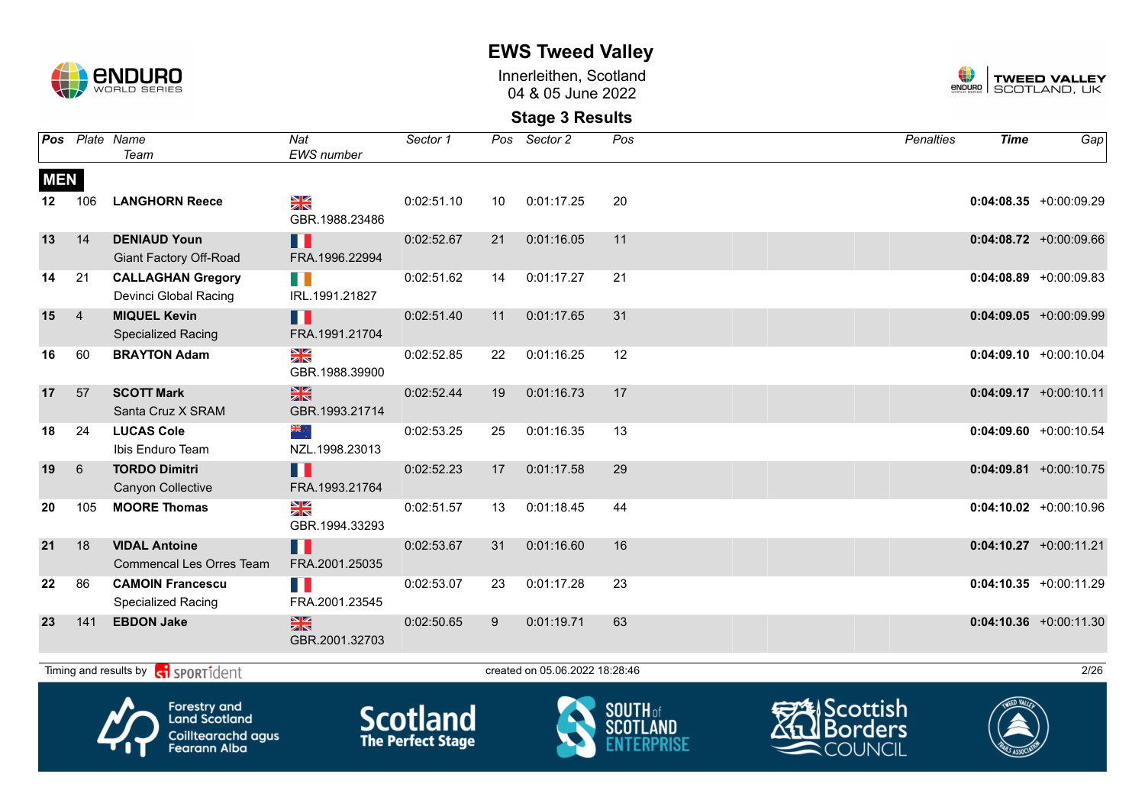

Innerleithen, Scotland 04 & 05 June 2022



### **Stage 3 Results**

|                  |                | Pos Plate Name<br>Team                                        | Nat<br><b>EWS</b> number        | Sector 1   |    | Pos Sector 2                   | Pos | <b>Penalties</b> | <b>Time</b> | Gap                       |
|------------------|----------------|---------------------------------------------------------------|---------------------------------|------------|----|--------------------------------|-----|------------------|-------------|---------------------------|
| <b>MEN</b>       |                |                                                               |                                 |            |    |                                |     |                  |             |                           |
| 12 <sup>12</sup> | 106            | <b>LANGHORN Reece</b>                                         | NK<br>ZK<br>GBR.1988.23486      | 0:02:51.10 | 10 | 0:01:17.25                     | 20  |                  |             | $0:04:08.35$ +0:00:09.29  |
| 13               | 14             | <b>DENIAUD Youn</b><br><b>Giant Factory Off-Road</b>          | H H<br>FRA.1996.22994           | 0:02:52.67 | 21 | 0:01:16.05                     | 11  |                  |             | $0:04:08.72 + 0:00:09.66$ |
| 14               | 21             | <b>CALLAGHAN Gregory</b><br>Devinci Global Racing             | H III<br>IRL.1991.21827         | 0:02:51.62 | 14 | 0:01:17.27                     | 21  |                  |             | $0:04:08.89 + 0:00:09.83$ |
| 15               | $\overline{4}$ | <b>MIQUEL Kevin</b><br><b>Specialized Racing</b>              | H<br>FRA.1991.21704             | 0:02:51.40 | 11 | 0:01:17.65                     | 31  |                  |             | $0:04:09.05$ +0:00:09.99  |
| 16               | 60             | <b>BRAYTON Adam</b>                                           | NK<br>ZK<br>GBR.1988.39900      | 0:02:52.85 | 22 | 0:01:16.25                     | 12  |                  |             | $0:04:09.10 + 0:00:10.04$ |
| 17               | 57             | <b>SCOTT Mark</b><br>Santa Cruz X SRAM                        | $\frac{N}{N}$<br>GBR.1993.21714 | 0:02:52.44 | 19 | 0:01:16.73                     | 17  |                  |             | $0:04:09.17$ +0:00:10.11  |
| 18               | 24             | <b>LUCAS Cole</b><br>Ibis Enduro Team                         | ≫⊯ू<br>NZL.1998.23013           | 0:02:53.25 | 25 | 0:01:16.35                     | 13  |                  |             | $0:04:09.60 + 0:00:10.54$ |
| 19               | 6              | <b>TORDO Dimitri</b><br><b>Canyon Collective</b>              | H<br>FRA.1993.21764             | 0:02:52.23 | 17 | 0:01:17.58                     | 29  |                  |             | $0:04:09.81 + 0:00:10.75$ |
| 20               | 105            | <b>MOORE Thomas</b>                                           | X<br>GBR.1994.33293             | 0:02:51.57 | 13 | 0:01:18.45                     | 44  |                  |             | $0:04:10.02$ +0:00:10.96  |
| 21               | 18             | <b>VIDAL Antoine</b><br><b>Commencal Les Orres Team</b>       | H H<br>FRA.2001.25035           | 0:02:53.67 | 31 | 0:01:16.60                     | 16  |                  |             | $0:04:10.27$ +0:00:11.21  |
| $22 \,$          | 86             | <b>CAMOIN Francescu</b><br><b>Specialized Racing</b>          | FRA.2001.23545                  | 0:02:53.07 | 23 | 0:01:17.28                     | 23  |                  |             | $0:04:10.35 + 0:00:11.29$ |
| 23               | 141            | <b>EBDON Jake</b>                                             | $\frac{N}{N}$<br>GBR.2001.32703 | 0:02:50.65 | 9  | 0:01:19.71                     | 63  |                  |             | $0:04:10.36$ +0:00:11.30  |
|                  |                | Timing and results by $\left  \mathbf{c} \right $ SPORT1 dent |                                 |            |    | created on 05.06.2022 18:28:46 |     |                  |             | 2/26                      |









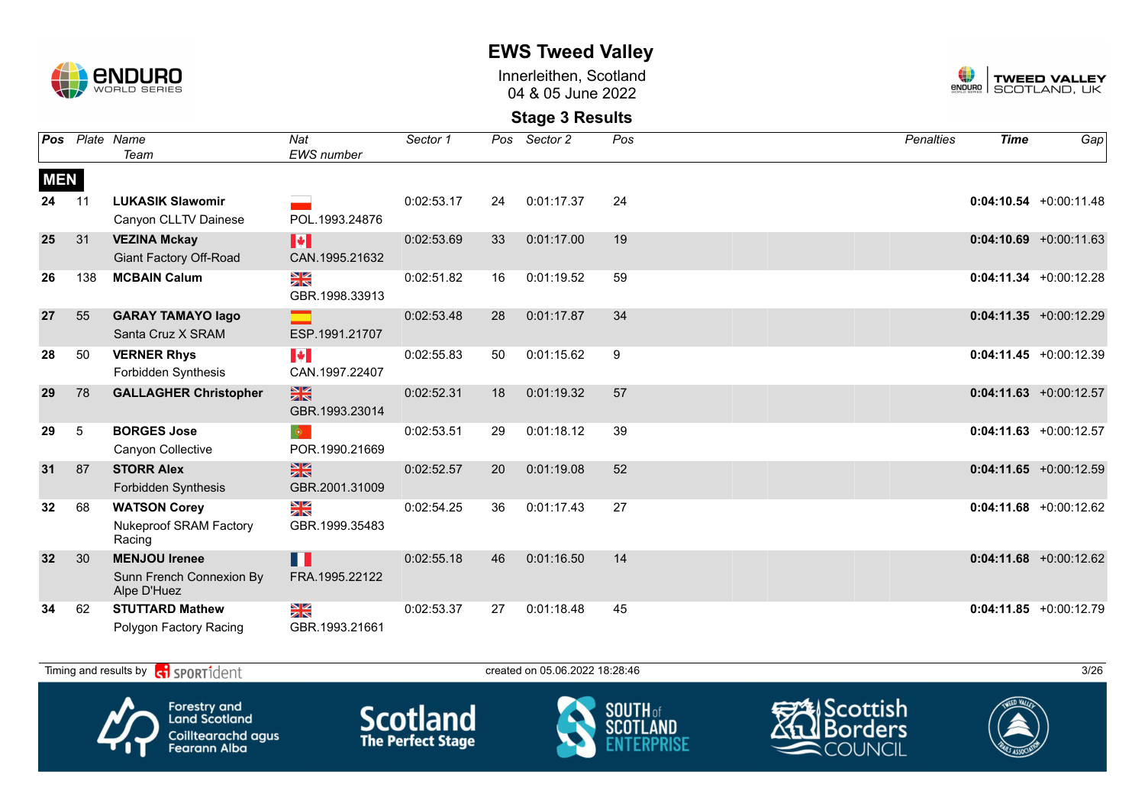

Innerleithen, Scotland 04 & 05 June 2022



|            |                 | Pos Plate Name<br>Team                                          | Nat<br>EWS number                       | Sector 1   |    | Pos Sector 2 | Pos              | <b>Penalties</b> | <b>Time</b> | Gap                       |
|------------|-----------------|-----------------------------------------------------------------|-----------------------------------------|------------|----|--------------|------------------|------------------|-------------|---------------------------|
| <b>MEN</b> |                 |                                                                 |                                         |            |    |              |                  |                  |             |                           |
| 24         | 11              | <b>LUKASIK Slawomir</b>                                         |                                         | 0:02:53.17 | 24 | 0:01:17.37   | 24               |                  |             | $0:04:10.54 + 0:00:11.48$ |
|            |                 | Canyon CLLTV Dainese                                            | POL.1993.24876                          |            |    |              |                  |                  |             |                           |
| 25         | 31              | <b>VEZINA Mckay</b><br><b>Giant Factory Off-Road</b>            | H<br>CAN.1995.21632                     | 0:02:53.69 | 33 | 0:01:17.00   | 19               |                  |             | $0:04:10.69$ +0:00:11.63  |
| 26         | 138             | <b>MCBAIN Calum</b>                                             | N<br>X<br>GBR.1998.33913                | 0:02:51.82 | 16 | 0:01:19.52   | 59               |                  |             | $0:04:11.34 +0:00:12.28$  |
| 27         | 55              | <b>GARAY TAMAYO lago</b><br>Santa Cruz X SRAM                   | ESP.1991.21707                          | 0:02:53.48 | 28 | 0:01:17.87   | 34               |                  |             | $0:04:11.35 + 0:00:12.29$ |
| 28         | 50              | <b>VERNER Rhys</b><br>Forbidden Synthesis                       | $\blacktriangleright$<br>CAN.1997.22407 | 0:02:55.83 | 50 | 0:01:15.62   | $\boldsymbol{9}$ |                  |             | $0:04:11.45 + 0:00:12.39$ |
| 29         | 78              | <b>GALLAGHER Christopher</b>                                    | $\frac{N}{N}$<br>GBR.1993.23014         | 0:02:52.31 | 18 | 0:01:19.32   | 57               |                  |             | $0:04:11.63 + 0:00:12.57$ |
| 29         | $5\phantom{.0}$ | <b>BORGES Jose</b><br>Canyon Collective                         | $\bullet$<br>POR.1990.21669             | 0:02:53.51 | 29 | 0:01:18.12   | 39               |                  |             | $0:04:11.63 + 0:00:12.57$ |
| 31         | 87              | <b>STORR Alex</b><br><b>Forbidden Synthesis</b>                 | $\frac{N}{N}$<br>GBR.2001.31009         | 0:02:52.57 | 20 | 0:01:19.08   | 52               |                  |             | $0:04:11.65$ +0:00:12.59  |
| 32         | 68              | <b>WATSON Corey</b><br><b>Nukeproof SRAM Factory</b><br>Racing  | ≫<br>X<br>GBR.1999.35483                | 0:02:54.25 | 36 | 0:01:17.43   | 27               |                  |             | $0:04:11.68$ +0:00:12.62  |
| 32         | 30              | <b>MENJOU Irenee</b><br>Sunn French Connexion By<br>Alpe D'Huez | H<br>FRA.1995.22122                     | 0:02:55.18 | 46 | 0:01:16.50   | 14               |                  |             | $0:04:11.68$ +0:00:12.62  |
| 34         | 62              | <b>STUTTARD Mathew</b><br>Polygon Factory Racing                | N<br>X<br>GBR.1993.21661                | 0:02:53.37 | 27 | 0:01:18.48   | 45               |                  |             | $0:04:11.85 + 0:00:12.79$ |

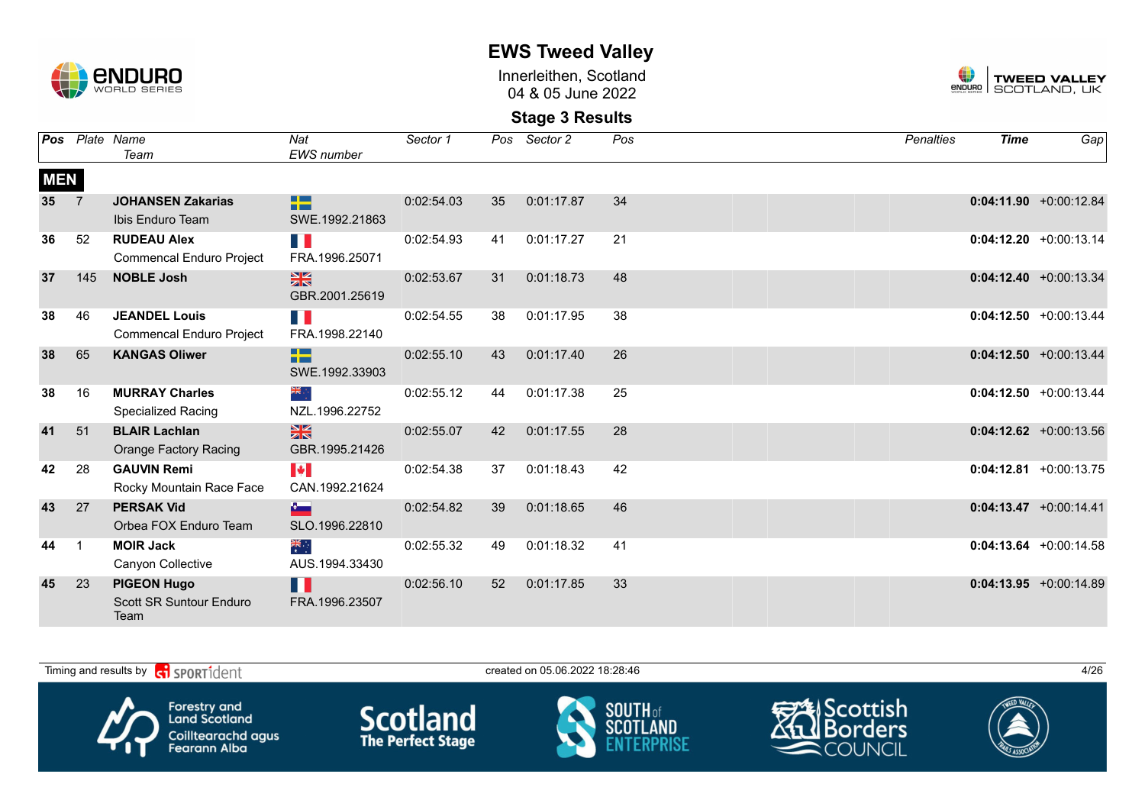

Innerleithen, Scotland 04 & 05 June 2022



| Pos             |                | Plate Name<br>Team                                           | Nat<br><b>EWS</b> number        | Sector 1   | Pos | Sector 2   | Pos | <b>Penalties</b> | <b>Time</b> | Gap                       |
|-----------------|----------------|--------------------------------------------------------------|---------------------------------|------------|-----|------------|-----|------------------|-------------|---------------------------|
| <b>MEN</b>      |                |                                                              |                                 |            |     |            |     |                  |             |                           |
| 35 <sub>5</sub> | $\overline{7}$ | <b>JOHANSEN Zakarias</b><br>Ibis Enduro Team                 | 22<br>SWE.1992.21863            | 0:02:54.03 | 35  | 0:01:17.87 | 34  |                  |             | $0:04:11.90 + 0:00:12.84$ |
| 36              | 52             | <b>RUDEAU Alex</b><br><b>Commencal Enduro Project</b>        | FI 1<br>FRA.1996.25071          | 0:02:54.93 | 41  | 0:01:17.27 | 21  |                  |             | $0:04:12.20 + 0:00:13.14$ |
| 37              | 145            | <b>NOBLE Josh</b>                                            | $\frac{N}{N}$<br>GBR.2001.25619 | 0:02:53.67 | 31  | 0:01:18.73 | 48  |                  |             | $0:04:12.40 + 0:00:13.34$ |
| 38              | 46             | <b>JEANDEL Louis</b><br><b>Commencal Enduro Project</b>      | E.<br>FRA.1998.22140            | 0:02:54.55 | 38  | 0:01:17.95 | 38  |                  |             | $0:04:12.50 + 0:00:13.44$ |
| 38              | 65             | <b>KANGAS Oliwer</b>                                         | 22<br>SWE.1992.33903            | 0:02:55.10 | 43  | 0:01:17.40 | 26  |                  |             | $0:04:12.50 + 0:00:13.44$ |
| 38              | 16             | <b>MURRAY Charles</b><br><b>Specialized Racing</b>           | ्र क्रांड<br>NZL.1996.22752     | 0:02:55.12 | 44  | 0:01:17.38 | 25  |                  |             | $0:04:12.50 + 0:00:13.44$ |
| 41              | 51             | <b>BLAIR Lachlan</b><br><b>Orange Factory Racing</b>         | $\frac{N}{N}$<br>GBR.1995.21426 | 0:02:55.07 | 42  | 0:01:17.55 | 28  |                  |             | $0:04:12.62$ +0:00:13.56  |
| 42              | 28             | <b>GAUVIN Remi</b><br>Rocky Mountain Race Face               | H<br>CAN.1992.21624             | 0:02:54.38 | 37  | 0:01:18.43 | 42  |                  |             | $0:04:12.81 + 0:00:13.75$ |
| 43              | 27             | <b>PERSAK Vid</b><br>Orbea FOX Enduro Team                   | $\sim$<br>SLO.1996.22810        | 0:02:54.82 | 39  | 0:01:18.65 | 46  |                  |             | $0:04:13.47 + 0:00:14.41$ |
| 44              | -1             | <b>MOIR Jack</b><br>Canyon Collective                        | ैं<br>राज<br>AUS.1994.33430     | 0:02:55.32 | 49  | 0:01:18.32 | 41  |                  |             | $0:04:13.64$ +0:00:14.58  |
| 45              | 23             | <b>PIGEON Hugo</b><br><b>Scott SR Suntour Enduro</b><br>Team | H<br>FRA.1996.23507             | 0:02:56.10 | 52  | 0:01:17.85 | 33  |                  |             | $0:04:13.95 +0:00:14.89$  |

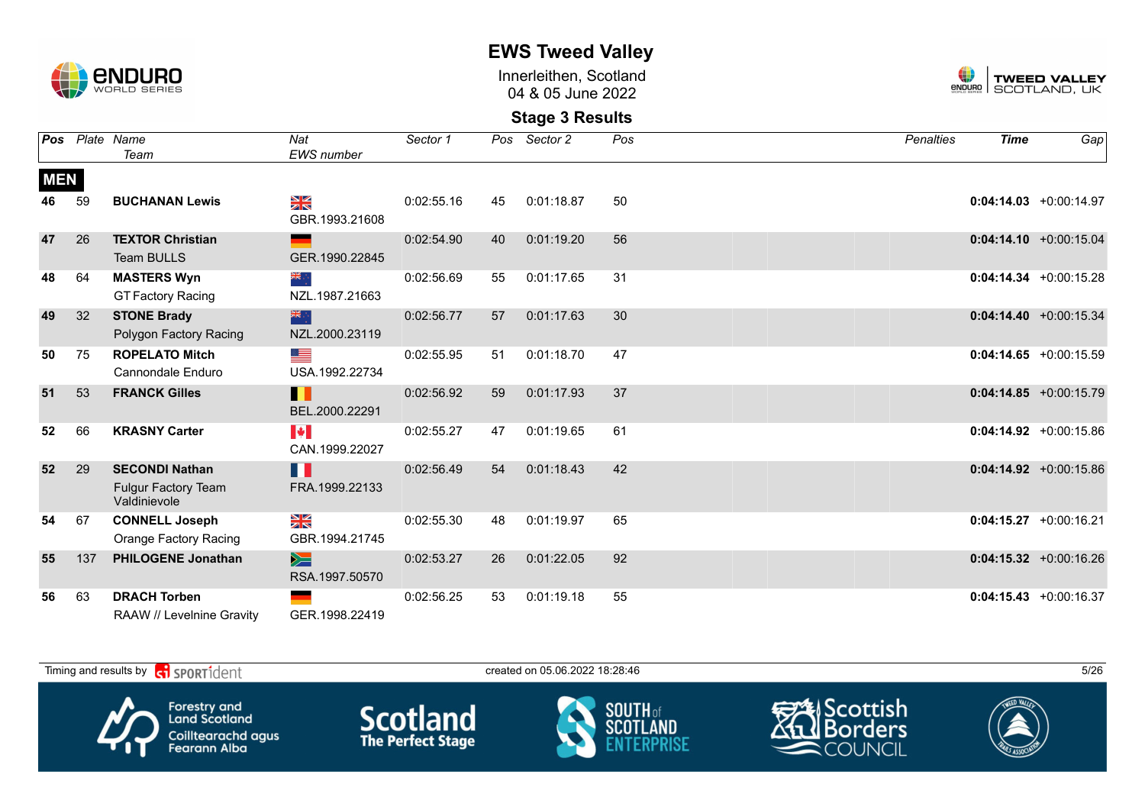

Innerleithen, Scotland 04 & 05 June 2022



| Pos        |     | Plate Name                                                          | Nat                                     | Sector 1   |    | Pos Sector 2 | Pos | <b>Penalties</b> | <b>Time</b> | Gap                       |
|------------|-----|---------------------------------------------------------------------|-----------------------------------------|------------|----|--------------|-----|------------------|-------------|---------------------------|
|            |     | Team                                                                | <b>EWS</b> number                       |            |    |              |     |                  |             |                           |
| <b>MEN</b> |     |                                                                     |                                         |            |    |              |     |                  |             |                           |
| 46         | 59  | <b>BUCHANAN Lewis</b>                                               | ¥≼<br>GBR.1993.21608                    | 0:02:55.16 | 45 | 0:01:18.87   | 50  |                  |             | $0:04:14.03 + 0:00:14.97$ |
| 47         | 26  | <b>TEXTOR Christian</b><br><b>Team BULLS</b>                        | GER.1990.22845                          | 0:02:54.90 | 40 | 0:01:19.20   | 56  |                  |             | $0:04:14.10 + 0:00:15.04$ |
| 48         | 64  | <b>MASTERS Wyn</b><br><b>GT Factory Racing</b>                      | ∴ क्रँ≼<br>NZL.1987.21663               | 0:02:56.69 | 55 | 0:01:17.65   | 31  |                  |             | $0:04:14.34 + 0:00:15.28$ |
| 49         | 32  | <b>STONE Brady</b><br>Polygon Factory Racing                        | 米州<br>NZL.2000.23119                    | 0:02:56.77 | 57 | 0:01:17.63   | 30  |                  |             | $0:04:14.40 + 0:00:15.34$ |
| 50         | 75  | <b>ROPELATO Mitch</b><br>Cannondale Enduro                          | ⋐<br>USA.1992.22734                     | 0:02:55.95 | 51 | 0:01:18.70   | 47  |                  |             | $0:04:14.65 + 0:00:15.59$ |
| 51         | 53  | <b>FRANCK Gilles</b>                                                | Ш<br>BEL.2000.22291                     | 0:02:56.92 | 59 | 0:01:17.93   | 37  |                  |             | $0:04:14.85 + 0:00:15.79$ |
| 52         | 66  | <b>KRASNY Carter</b>                                                | $\blacktriangleright$<br>CAN.1999.22027 | 0:02:55.27 | 47 | 0:01:19.65   | 61  |                  |             | $0:04:14.92 +0:00:15.86$  |
| 52         | 29  | <b>SECONDI Nathan</b><br><b>Fulgur Factory Team</b><br>Valdinievole | H<br>FRA.1999.22133                     | 0:02:56.49 | 54 | 0:01:18.43   | 42  |                  |             | $0:04:14.92 + 0:00:15.86$ |
| 54         | 67  | <b>CONNELL Joseph</b><br><b>Orange Factory Racing</b>               | $\frac{N}{N}$<br>GBR.1994.21745         | 0:02:55.30 | 48 | 0:01:19.97   | 65  |                  |             | $0:04:15.27 + 0:00:16.21$ |
| 55         | 137 | <b>PHILOGENE Jonathan</b>                                           | $\geq$<br>RSA.1997.50570                | 0:02:53.27 | 26 | 0:01:22.05   | 92  |                  |             | $0:04:15.32 + 0:00:16.26$ |
| 56         | 63  | <b>DRACH Torben</b><br>RAAW // Levelnine Gravity                    | GER.1998.22419                          | 0:02:56.25 | 53 | 0:01:19.18   | 55  |                  |             | $0:04:15.43 + 0:00:16.37$ |

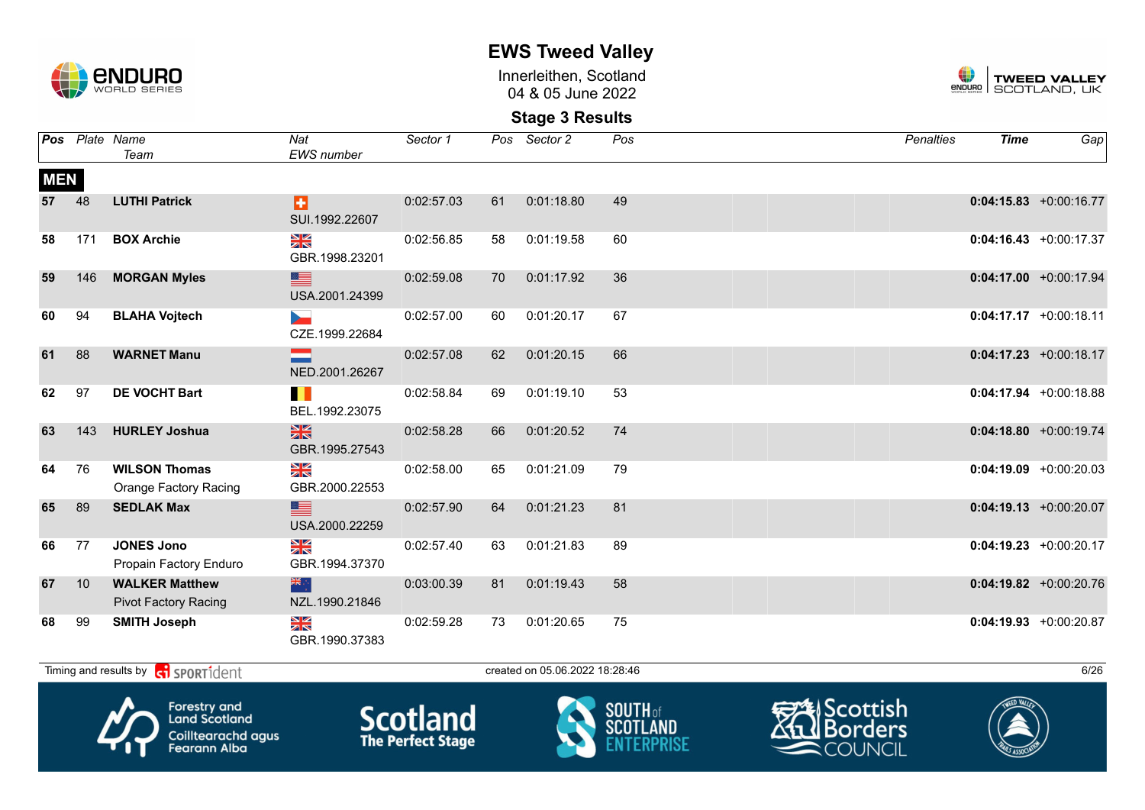

Innerleithen, Scotland 04 & 05 June 2022



**Stage 3 Results**

|            |     | Pos Plate Name<br>Team                               | Nat<br><b>EWS</b> number        | Sector 1   |    | Pos Sector 2 | $\overline{Pos}$ | <b>Penalties</b> | <b>Time</b> | Gap                       |
|------------|-----|------------------------------------------------------|---------------------------------|------------|----|--------------|------------------|------------------|-------------|---------------------------|
| <b>MEN</b> |     |                                                      |                                 |            |    |              |                  |                  |             |                           |
| 57         | 48  | <b>LUTHI Patrick</b>                                 | ы<br>SUI.1992.22607             | 0:02:57.03 | 61 | 0:01:18.80   | 49               |                  |             | $0:04:15.83 + 0:00:16.77$ |
| 58         | 171 | <b>BOX Archie</b>                                    | NK<br>ZK<br>GBR.1998.23201      | 0:02:56.85 | 58 | 0:01:19.58   | 60               |                  |             | $0:04:16.43 + 0:00:17.37$ |
| 59         | 146 | <b>MORGAN Myles</b>                                  | ▆<br>USA.2001.24399             | 0:02:59.08 | 70 | 0:01:17.92   | 36               |                  |             | $0:04:17.00$ +0:00:17.94  |
| 60         | 94  | <b>BLAHA Vojtech</b>                                 | CZE.1999.22684                  | 0:02:57.00 | 60 | 0:01:20.17   | 67               |                  |             | $0:04:17.17 + 0:00:18.11$ |
| 61         | 88  | <b>WARNET Manu</b>                                   | NED.2001.26267                  | 0:02:57.08 | 62 | 0:01:20.15   | 66               |                  |             | $0:04:17.23 + 0:00:18.17$ |
| 62         | 97  | <b>DE VOCHT Bart</b>                                 | ш<br>BEL.1992.23075             | 0:02:58.84 | 69 | 0:01:19.10   | 53               |                  |             | $0:04:17.94 + 0:00:18.88$ |
| 63         | 143 | <b>HURLEY Joshua</b>                                 | $\frac{N}{N}$<br>GBR.1995.27543 | 0:02:58.28 | 66 | 0:01:20.52   | 74               |                  |             | $0:04:18.80 + 0:00:19.74$ |
| 64         | 76  | <b>WILSON Thomas</b><br>Orange Factory Racing        | N<br>ZK<br>GBR.2000.22553       | 0:02:58.00 | 65 | 0:01:21.09   | 79               |                  |             | $0:04:19.09 + 0:00:20.03$ |
| 65         | 89  | <b>SEDLAK Max</b>                                    | ▆<br>USA.2000.22259             | 0:02:57.90 | 64 | 0:01:21.23   | 81               |                  |             | $0:04:19.13 + 0:00:20.07$ |
| 66         | 77  | <b>JONES Jono</b><br>Propain Factory Enduro          | ≫<br>X<br>GBR.1994.37370        | 0:02:57.40 | 63 | 0:01:21.83   | 89               |                  |             | $0:04:19.23 +0:00:20.17$  |
| 67         | 10  | <b>WALKER Matthew</b><br><b>Pivot Factory Racing</b> | 学<br>NZL.1990.21846             | 0:03:00.39 | 81 | 0:01:19.43   | 58               |                  |             | $0:04:19.82 +0:00:20.76$  |
| 68         | 99  | <b>SMITH Joseph</b>                                  | ≫<br>X<br>GBR.1990.37383        | 0:02:59.28 | 73 | 0:01:20.65   | 75               |                  |             | $0:04:19.93 + 0:00:20.87$ |

Timing and results by  $\overline{c_1}$  SPORT1 $\overline{1}$  dent to the created on 05.06.2022 18:28:46 6/26









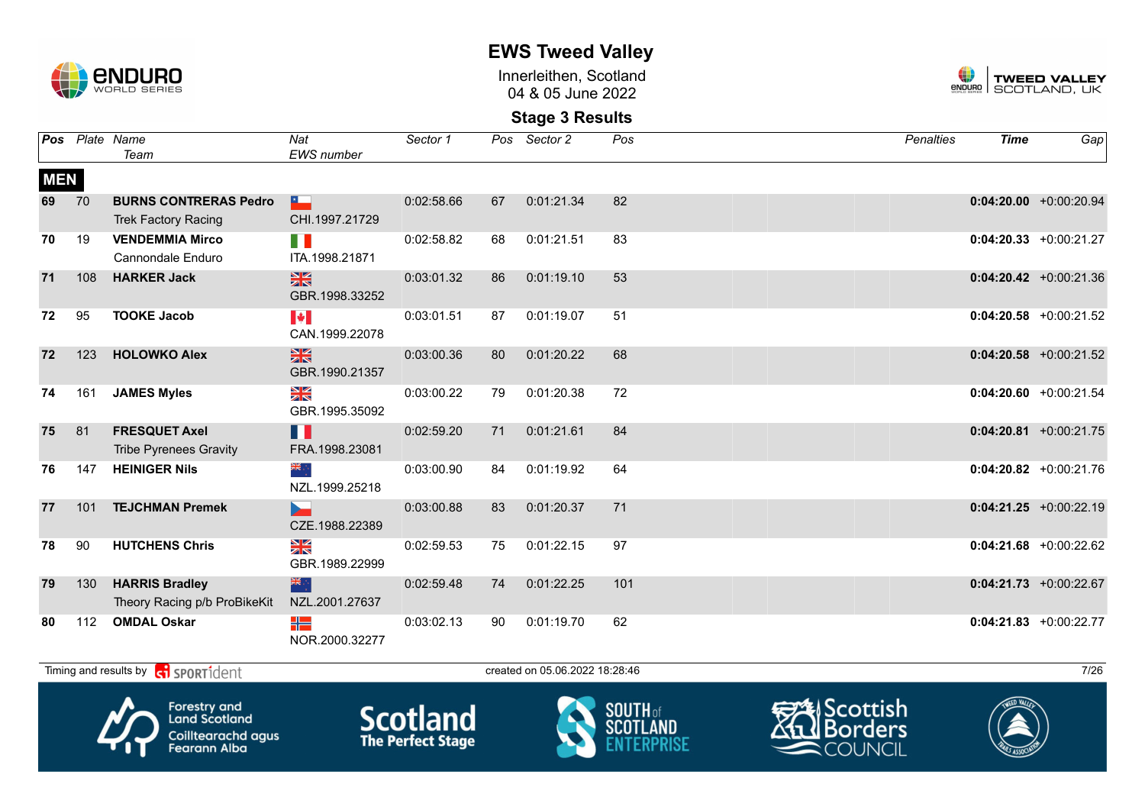

Innerleithen, Scotland 04 & 05 June 2022



### **Stage 3 Results**

|            |     | Pos Plate Name<br>Team                                     | Nat<br><b>EWS</b> number                               | Sector 1   |    | Pos Sector 2                   | Pos | <b>Penalties</b> | <b>Time</b> | Gap                       |
|------------|-----|------------------------------------------------------------|--------------------------------------------------------|------------|----|--------------------------------|-----|------------------|-------------|---------------------------|
| <b>MEN</b> |     |                                                            |                                                        |            |    |                                |     |                  |             |                           |
| 69         | 70  | <b>BURNS CONTRERAS Pedro</b><br><b>Trek Factory Racing</b> | $\mathbf{r}$<br>CHI.1997.21729                         | 0:02:58.66 | 67 | 0:01:21.34                     | 82  |                  |             | $0:04:20.00$ +0:00:20.94  |
| 70         | 19  | <b>VENDEMMIA Mirco</b><br>Cannondale Enduro                | n e<br>ITA.1998.21871                                  | 0:02:58.82 | 68 | 0:01:21.51                     | 83  |                  |             | $0:04:20.33 + 0:00:21.27$ |
| 71         | 108 | <b>HARKER Jack</b>                                         | $\frac{N}{N}$<br>GBR.1998.33252                        | 0:03:01.32 | 86 | 0:01:19.10                     | 53  |                  |             | $0:04:20.42$ +0:00:21.36  |
| 72         | 95  | <b>TOOKE Jacob</b>                                         | $\left\  \boldsymbol{\ast} \right\ $<br>CAN.1999.22078 | 0:03:01.51 | 87 | 0:01:19.07                     | 51  |                  |             | $0:04:20.58$ +0:00:21.52  |
| 72         | 123 | <b>HOLOWKO Alex</b>                                        | $\frac{N}{N}$<br>GBR.1990.21357                        | 0:03:00.36 | 80 | 0:01:20.22                     | 68  |                  |             | $0:04:20.58$ +0:00:21.52  |
| 74         | 161 | <b>JAMES Myles</b>                                         | $\frac{N}{N}$<br>GBR.1995.35092                        | 0:03:00.22 | 79 | 0:01:20.38                     | 72  |                  |             | $0:04:20.60$ +0:00:21.54  |
| 75         | 81  | <b>FRESQUET Axel</b><br><b>Tribe Pyrenees Gravity</b>      | N N<br>FRA.1998.23081                                  | 0:02:59.20 | 71 | 0:01:21.61                     | 84  |                  |             | $0:04:20.81 + 0:00:21.75$ |
| 76         | 147 | <b>HEINIGER Nils</b>                                       | ं श्र<br>NZL.1999.25218                                | 0:03:00.90 | 84 | 0:01:19.92                     | 64  |                  |             | $0:04:20.82$ +0:00:21.76  |
| 77         | 101 | <b>TEJCHMAN Premek</b>                                     | ь.<br>CZE.1988.22389                                   | 0:03:00.88 | 83 | 0:01:20.37                     | 71  |                  |             | $0:04:21.25$ +0:00:22.19  |
| 78         | 90  | <b>HUTCHENS Chris</b>                                      | $\frac{N}{N}$<br>GBR.1989.22999                        | 0:02:59.53 | 75 | 0:01:22.15                     | 97  |                  |             | $0:04:21.68$ +0:00:22.62  |
| 79         | 130 | <b>HARRIS Bradley</b><br>Theory Racing p/b ProBikeKit      | 米尔<br>NZL.2001.27637                                   | 0:02:59.48 | 74 | 0:01:22.25                     | 101 |                  |             | $0:04:21.73$ +0:00:22.67  |
| 80         | 112 | <b>OMDAL Oskar</b>                                         | ╬═<br>NOR.2000.32277                                   | 0:03:02.13 | 90 | 0:01:19.70                     | 62  |                  |             | $0:04:21.83 + 0:00:22.77$ |
|            |     | Timing and results by <b>ci</b> SPORT1dent                 |                                                        |            |    | created on 05.06.2022 18:28:46 |     |                  |             | 7/26                      |









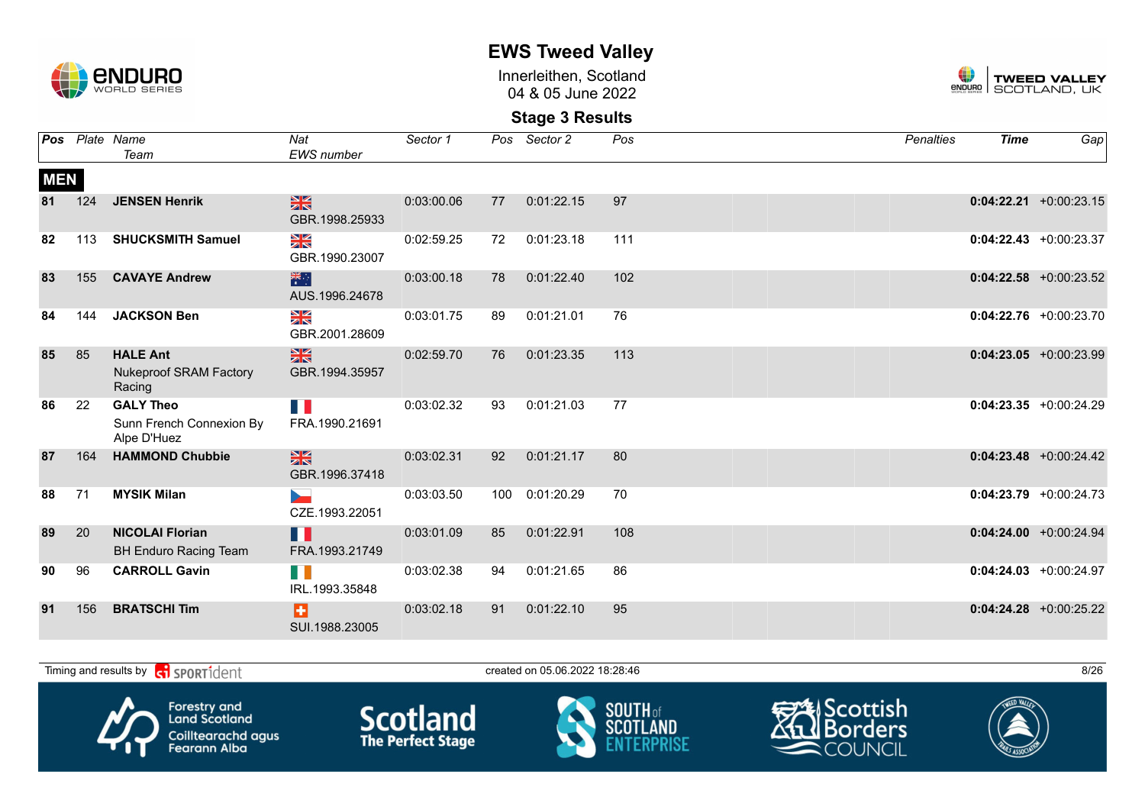

Innerleithen, Scotland 04 & 05 June 2022



**Stage 3 Results**

|            |     | Pos Plate Name<br>Team                                      | Nat<br>EWS number                                 | Sector 1   |     | Pos Sector 2 | Pos | <b>Penalties</b> | <b>Time</b> | Gap                       |
|------------|-----|-------------------------------------------------------------|---------------------------------------------------|------------|-----|--------------|-----|------------------|-------------|---------------------------|
| <b>MEN</b> |     |                                                             |                                                   |            |     |              |     |                  |             |                           |
| 81         | 124 | <b>JENSEN Henrik</b>                                        | $\frac{N}{N}$<br>GBR.1998.25933                   | 0:03:00.06 | 77  | 0:01:22.15   | 97  |                  |             | $0:04:22.21 + 0:00:23.15$ |
| 82         | 113 | <b>SHUCKSMITH Samuel</b>                                    | NK<br>ZK<br>GBR.1990.23007                        | 0:02:59.25 | 72  | 0:01:23.18   | 111 |                  |             | $0:04:22.43 + 0:00:23.37$ |
| 83         | 155 | <b>CAVAYE Andrew</b>                                        | 米<br>AUS.1996.24678                               | 0:03:00.18 | 78  | 0:01:22.40   | 102 |                  |             | $0:04:22.58$ +0:00:23.52  |
| 84         | 144 | <b>JACKSON Ben</b>                                          | $\frac{\mathbf{N}}{\mathbf{N}}$<br>GBR.2001.28609 | 0:03:01.75 | 89  | 0:01:21.01   | 76  |                  |             | $0:04:22.76$ +0:00:23.70  |
| 85         | 85  | <b>HALE Ant</b><br><b>Nukeproof SRAM Factory</b><br>Racing  | $\frac{N}{N}$<br>GBR.1994.35957                   | 0:02:59.70 | 76  | 0:01:23.35   | 113 |                  |             | $0:04:23.05$ +0:00:23.99  |
| 86         | 22  | <b>GALY Theo</b><br>Sunn French Connexion By<br>Alpe D'Huez | n n<br>FRA.1990.21691                             | 0:03:02.32 | 93  | 0:01:21.03   | 77  |                  |             | $0:04:23.35 +0:00:24.29$  |
| 87         | 164 | <b>HAMMOND Chubbie</b>                                      | $\frac{N}{N}$<br>GBR.1996.37418                   | 0:03:02.31 | 92  | 0:01:21.17   | 80  |                  |             | $0:04:23.48$ +0:00:24.42  |
| 88         | 71  | <b>MYSIK Milan</b>                                          | CZE.1993.22051                                    | 0:03:03.50 | 100 | 0:01:20.29   | 70  |                  |             | $0:04:23.79$ +0:00:24.73  |
| 89         | 20  | <b>NICOLAI Florian</b><br><b>BH Enduro Racing Team</b>      | H<br>FRA.1993.21749                               | 0:03:01.09 | 85  | 0:01:22.91   | 108 |                  |             | $0:04:24.00 + 0:00:24.94$ |
| 90         | 96  | <b>CARROLL Gavin</b>                                        | H T<br>IRL.1993.35848                             | 0:03:02.38 | 94  | 0:01:21.65   | 86  |                  |             | $0:04:24.03 + 0:00:24.97$ |
| 91         | 156 | <b>BRATSCHI Tim</b>                                         | Ð<br>SUI.1988.23005                               | 0:03:02.18 | 91  | 0:01:22.10   | 95  |                  |             | $0:04:24.28$ +0:00:25.22  |

Timing and results by  $\overline{c_1}$  SPORT1 $\overline{d}$  enter the created on 05.06.2022 18:28:46 8/26 Scottish Forestry and<br>Land Scotland **Scotland SOUTH** of orders scot Coilltearachd agus<br>Fearann Alba COUNCIL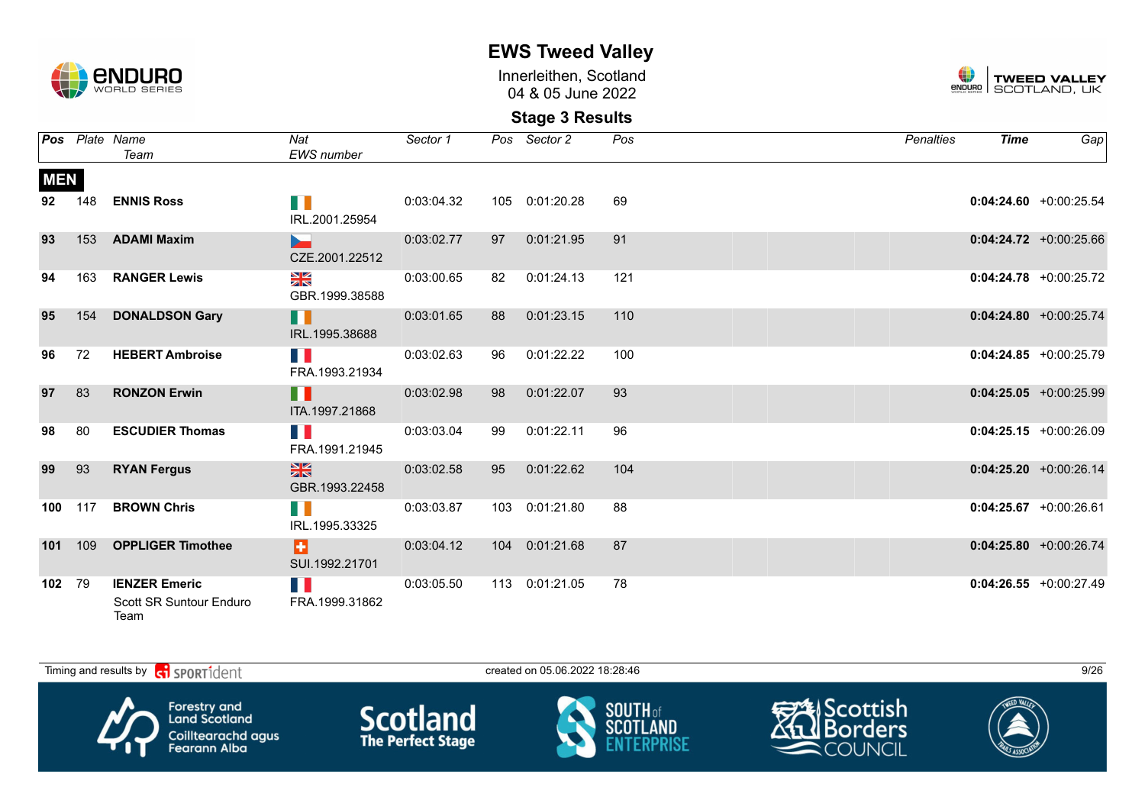

Innerleithen, Scotland 04 & 05 June 2022



|            |         | <b>Pos</b> Plate Name<br>Team                           | Nat<br><b>EWS</b> number               | Sector 1   |    | Pos Sector 2   | Pos | Penalties | <b>Time</b> | Gap                       |
|------------|---------|---------------------------------------------------------|----------------------------------------|------------|----|----------------|-----|-----------|-------------|---------------------------|
| <b>MEN</b> |         |                                                         |                                        |            |    |                |     |           |             |                           |
| 92         | 148     | <b>ENNIS Ross</b>                                       | HD N<br>IRL.2001.25954                 | 0:03:04.32 |    | 105 0:01:20.28 | 69  |           |             | $0:04:24.60 + 0:00:25.54$ |
| 93         |         | 153 ADAMI Maxim                                         | <b>Service State</b><br>CZE.2001.22512 | 0:03:02.77 |    | 97 0:01:21.95  | 91  |           |             | $0:04:24.72$ +0:00:25.66  |
| 94         | 163     | <b>RANGER Lewis</b>                                     | NK<br>ZK<br>GBR.1999.38588             | 0:03:00.65 | 82 | 0:01:24.13     | 121 |           |             | $0:04:24.78$ +0:00:25.72  |
| 95         | 154     | <b>DONALDSON Gary</b>                                   | H<br>IRL.1995.38688                    | 0:03:01.65 | 88 | 0:01:23.15     | 110 |           |             | $0:04:24.80 + 0:00:25.74$ |
| 96         | 72      | <b>HEBERT Ambroise</b>                                  | H B<br>FRA.1993.21934                  | 0:03:02.63 | 96 | 0:01:22.22     | 100 |           |             | $0:04:24.85 + 0:00:25.79$ |
| 97         | 83      | <b>RONZON Erwin</b>                                     | H<br>ITA.1997.21868                    | 0:03:02.98 | 98 | 0:01:22.07     | 93  |           |             | $0:04:25.05 +0:00:25.99$  |
| 98         | 80      | <b>ESCUDIER Thomas</b>                                  | n n<br>FRA.1991.21945                  | 0:03:03.04 | 99 | 0:01:22.11     | 96  |           |             | $0:04:25.15 + 0:00:26.09$ |
| 99         | 93      | <b>RYAN Fergus</b>                                      | $\frac{N}{N}$<br>GBR.1993.22458        | 0:03:02.58 | 95 | 0:01:22.62     | 104 |           |             | $0:04:25.20 +0:00:26.14$  |
| 100        | 117     | <b>BROWN Chris</b>                                      | HI N<br>IRL.1995.33325                 | 0:03:03.87 |    | 103 0:01:21.80 | 88  |           |             | $0:04:25.67$ +0:00:26.61  |
|            | 101 109 | <b>OPPLIGER Timothee</b>                                | Ð.<br>SUI.1992.21701                   | 0:03:04.12 |    | 104 0:01:21.68 | 87  |           |             | $0:04:25.80 + 0:00:26.74$ |
| 102 79     |         | <b>IENZER Emeric</b><br>Scott SR Suntour Enduro<br>Team | N.<br>FRA.1999.31862                   | 0:03:05.50 |    | 113 0:01:21.05 | 78  |           |             | $0:04:26.55 + 0:00:27.49$ |

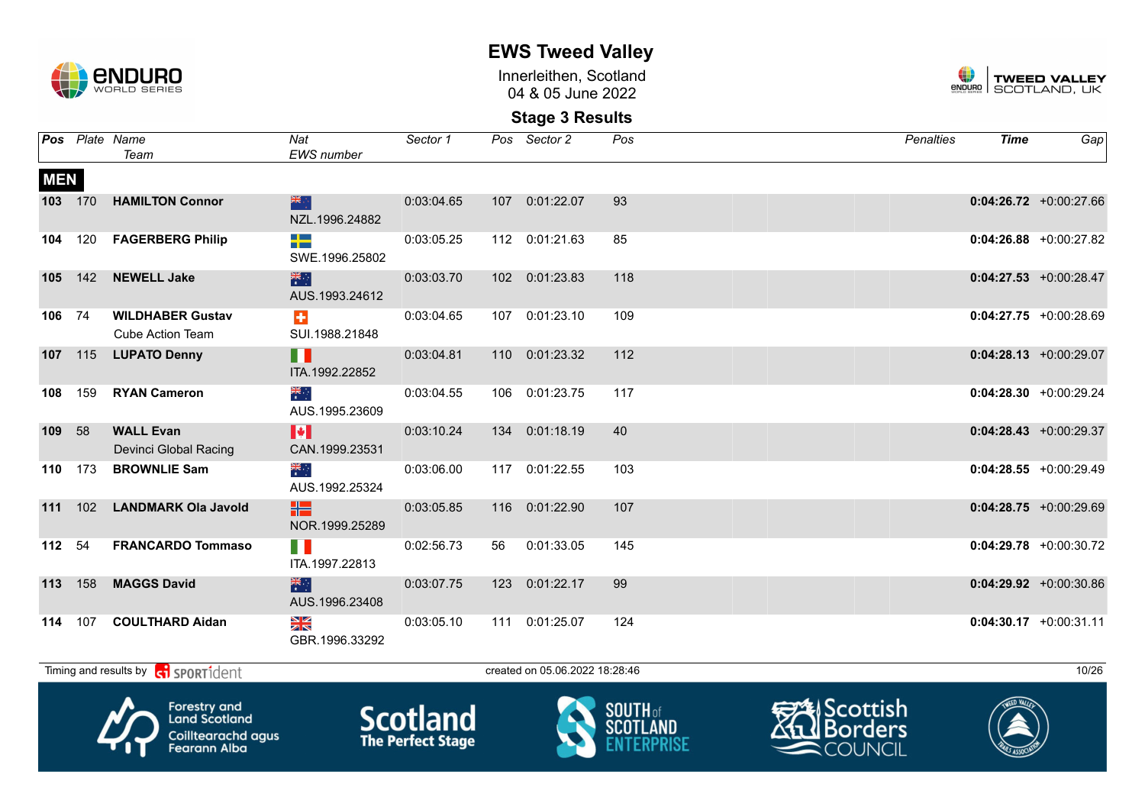

Innerleithen, Scotland 04 & 05 June 2022



**Stage 3 Results**

|            |         | <b>Pos</b> Plate Name<br>Team                             | Nat<br>EWS number           | Sector 1   |    | Pos Sector 2                   | Pos | <b>Penalties</b> | <b>Time</b> | Gap                       |
|------------|---------|-----------------------------------------------------------|-----------------------------|------------|----|--------------------------------|-----|------------------|-------------|---------------------------|
| <b>MEN</b> |         |                                                           |                             |            |    |                                |     |                  |             |                           |
|            | 103 170 | <b>HAMILTON Connor</b>                                    | 深心<br>NZL.1996.24882        | 0:03:04.65 |    | 107  0:01:22.07                | 93  |                  |             | $0:04:26.72$ +0:00:27.66  |
| 104        | 120     | <b>FAGERBERG Philip</b>                                   | ┽═<br>SWE.1996.25802        | 0:03:05.25 |    | 112 0:01:21.63                 | 85  |                  |             | $0:04:26.88$ +0:00:27.82  |
| 105        |         | 142 NEWELL Jake                                           | 米<br>AUS.1993.24612         | 0:03:03.70 |    | 102 0:01:23.83                 | 118 |                  |             | $0:04:27.53$ +0:00:28.47  |
| 106 74     |         | <b>WILDHABER Gustav</b><br><b>Cube Action Team</b>        | $\ddot{}$<br>SUI.1988.21848 | 0:03:04.65 |    | 107 0:01:23.10                 | 109 |                  |             | $0:04:27.75$ +0:00:28.69  |
|            |         | 107 115 LUPATO Denny                                      | H<br>ITA.1992.22852         | 0:03:04.81 |    | 110 0:01:23.32                 | 112 |                  |             | $0:04:28.13$ +0:00:29.07  |
| 108        | 159     | <b>RYAN Cameron</b>                                       | ्हें<br>र<br>AUS.1995.23609 | 0:03:04.55 |    | 106 0:01:23.75                 | 117 |                  |             | $0:04:28.30 + 0:00:29.24$ |
| 109 58     |         | <b>WALL Evan</b><br>Devinci Global Racing                 | M<br>CAN.1999.23531         | 0:03:10.24 |    | 134 0:01:18.19                 | 40  |                  |             | $0:04:28.43 + 0:00:29.37$ |
| 110        | 173     | <b>BROWNLIE Sam</b>                                       | ≫ik<br>*<br>AUS.1992.25324  | 0:03:06.00 |    | 117 0:01:22.55                 | 103 |                  |             | $0:04:28.55 + 0:00:29.49$ |
|            |         | 111 102 LANDMARK Ola Javold                               | HS.<br>NOR.1999.25289       | 0:03:05.85 |    | 116 0:01:22.90                 | 107 |                  |             | $0:04:28.75 +0:00:29.69$  |
| 112 54     |         | <b>FRANCARDO Tommaso</b>                                  | H.<br>ITA.1997.22813        | 0:02:56.73 | 56 | 0:01:33.05                     | 145 |                  |             | $0:04:29.78$ +0:00:30.72  |
|            | 113 158 | <b>MAGGS David</b>                                        | 米<br>AUS.1996.23408         | 0:03:07.75 |    | 123 0:01:22.17                 | 99  |                  |             | $0:04:29.92 +0:00:30.86$  |
|            |         | 114 107 COULTHARD Aidan                                   | NK<br>ZK<br>GBR.1996.33292  | 0:03:05.10 |    | 111  0:01:25.07                | 124 |                  |             | $0:04:30.17$ +0:00:31.11  |
|            |         | Timing and results by <b>contains and the SPORT1</b> dent |                             |            |    | created on 05.06.2022 18:28:46 |     |                  |             | 10/26                     |

Forestry and<br>Land Scotland Coilltearachd agus<br>Fearann Alba



**Scotland** 



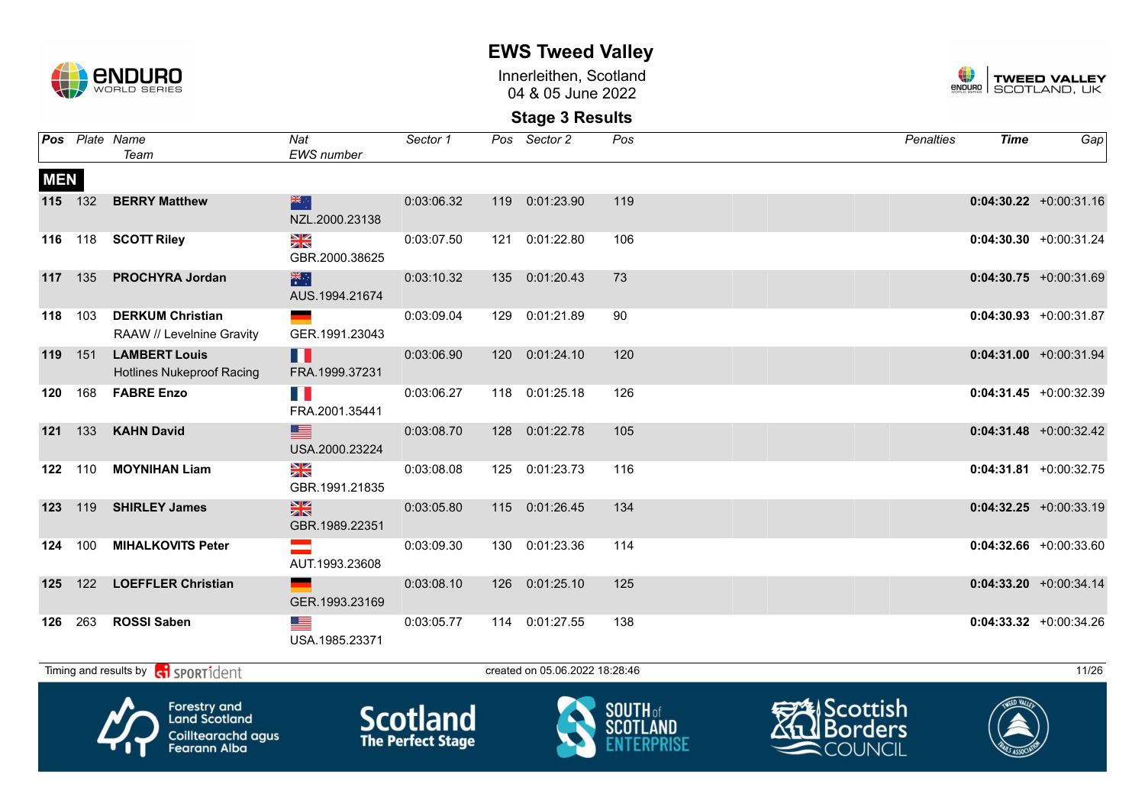

Innerleithen, Scotland 04 & 05 June 2022



**Stage 3 Results**

|            |                | <b>Pos</b> Plate Name<br>Team                            | Nat<br>EWS number               | Sector 1         | Pos Sector 2                   | Pos          | Penalties            | <b>Time</b>  | Gap                       |
|------------|----------------|----------------------------------------------------------|---------------------------------|------------------|--------------------------------|--------------|----------------------|--------------|---------------------------|
| <b>MEN</b> |                |                                                          |                                 |                  |                                |              |                      |              |                           |
|            | 115 132        | <b>BERRY Matthew</b>                                     | 米克<br>NZL.2000.23138            | 0:03:06.32       | 119 0:01:23.90                 | 119          |                      |              | $0:04:30.22$ +0:00:31.16  |
|            | 116 118        | <b>SCOTT Riley</b>                                       | XK<br>ZK<br>GBR.2000.38625      | 0:03:07.50       | 121 0:01:22.80                 | 106          |                      |              | $0:04:30.30 + 0:00:31.24$ |
|            |                | 117 135 PROCHYRA Jordan                                  | 米<br>AUS.1994.21674             | 0:03:10.32       | 135 0:01:20.43                 | 73           |                      |              | $0:04:30.75 +0:00:31.69$  |
|            | 118 103        | <b>DERKUM Christian</b><br>RAAW // Levelnine Gravity     | GER.1991.23043                  | 0:03:09.04       | 129 0:01:21.89                 | 90           |                      |              | $0:04:30.93 + 0:00:31.87$ |
|            | <b>119</b> 151 | <b>LAMBERT Louis</b><br><b>Hotlines Nukeproof Racing</b> | H<br>FRA.1999.37231             | 0:03:06.90       | 120 0:01:24.10                 | 120          |                      |              | $0:04:31.00 + 0:00:31.94$ |
| 120        | 168            | <b>FABRE Enzo</b>                                        | H.<br>FRA.2001.35441            | 0:03:06.27       | 118 0:01:25.18                 | 126          |                      |              | $0:04:31.45 + 0:00:32.39$ |
|            | 121 133        | <b>KAHN David</b>                                        | ▆<br>USA.2000.23224             | 0:03:08.70       | 128 0:01:22.78                 | 105          |                      |              | $0:04:31.48$ +0:00:32.42  |
|            | 122 110        | <b>MOYNIHAN Liam</b>                                     | XK<br>ZK<br>GBR.1991.21835      | 0:03:08.08       | 125 0:01:23.73                 | 116          |                      |              | $0:04:31.81 + 0:00:32.75$ |
| 123        | 119            | <b>SHIRLEY James</b>                                     | $\frac{N}{N}$<br>GBR.1989.22351 | 0:03:05.80       | 115 0:01:26.45                 | 134          |                      |              | $0:04:32.25$ +0:00:33.19  |
| 124        | 100            | <b>MIHALKOVITS Peter</b>                                 | AUT.1993.23608                  | 0:03:09.30       | 130 0:01:23.36                 | 114          |                      |              | $0:04:32.66$ +0:00:33.60  |
|            |                | 125 122 LOEFFLER Christian                               | GER.1993.23169                  | 0:03:08.10       | 126 0:01:25.10                 | 125          |                      |              | $0:04:33.20 +0:00:34.14$  |
|            | 126 263        | <b>ROSSI Saben</b>                                       | USA.1985.23371                  | 0:03:05.77       | 114 0:01:27.55                 | 138          |                      |              | $0:04:33.32 +0:00:34.26$  |
|            |                | Timing and results by contract of the SPORT1dent         |                                 |                  | created on 05.06.2022 18:28:46 |              |                      |              | 11/26                     |
|            |                | Λ.<br><b>Forestry and</b>                                |                                 | <b>Continued</b> |                                | $S$ OIITH of | <b>EXAL Scottish</b> | TWEED VALLEY |                           |



**Land Scotland** Coilltearachd agus<br>Fearann Alba







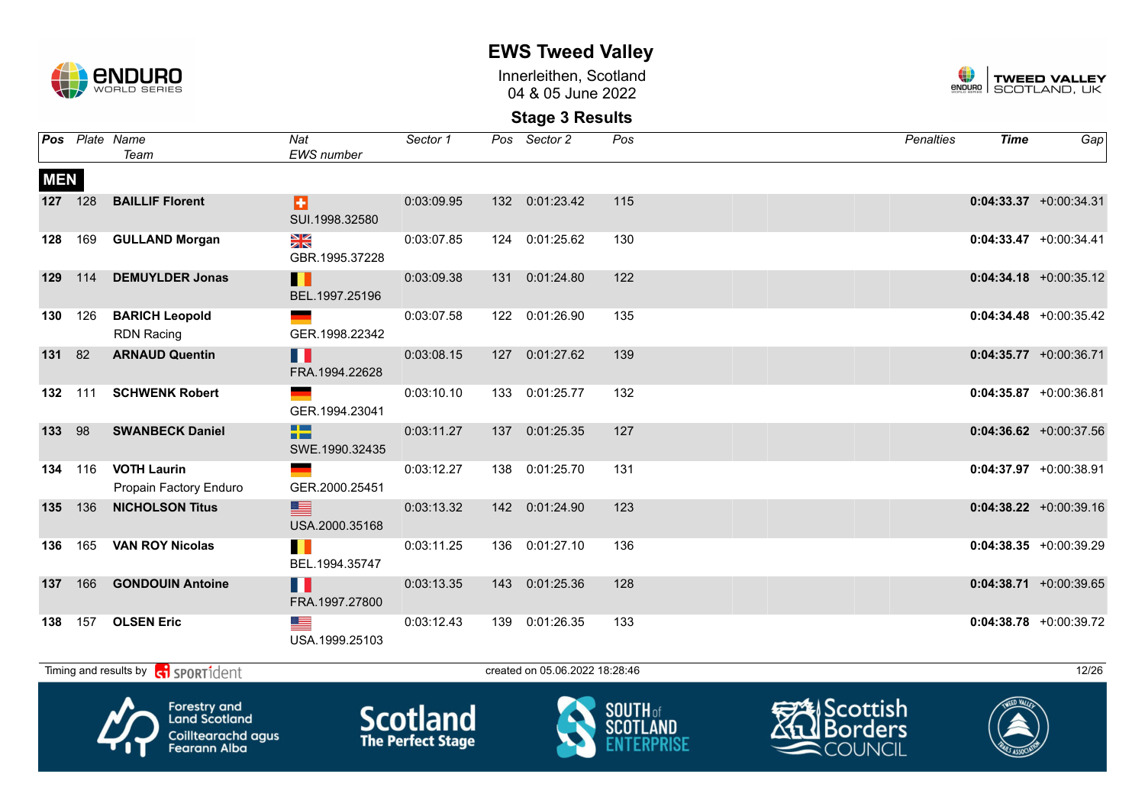

**EWS Tweed Valley**

Innerleithen, Scotland 04 & 05 June 2022



|            |         | Pos Plate Name                                                             | Nat                          | Sector 1                                    | Pos Sector 2                   | Pos                                | <b>Penalties</b>                                             | <b>Time</b> | Gap                       |
|------------|---------|----------------------------------------------------------------------------|------------------------------|---------------------------------------------|--------------------------------|------------------------------------|--------------------------------------------------------------|-------------|---------------------------|
|            |         | Team                                                                       | <b>EWS</b> number            |                                             |                                |                                    |                                                              |             |                           |
| <b>MEN</b> |         |                                                                            |                              |                                             |                                |                                    |                                                              |             |                           |
|            | 127 128 | <b>BAILLIF Florent</b>                                                     | a<br>SUI.1998.32580          | 0:03:09.95                                  | 132 0:01:23.42                 | 115                                |                                                              |             | $0:04:33.37 + 0:00:34.31$ |
| 128        | 169     | <b>GULLAND Morgan</b>                                                      | ≥k<br>GBR.1995.37228         | 0:03:07.85                                  | 124 0:01:25.62                 | 130                                |                                                              |             | $0:04:33.47$ +0:00:34.41  |
| 129        | 114     | <b>DEMUYLDER Jonas</b>                                                     | Ш<br>BEL.1997.25196          | 0:03:09.38                                  | 131 0:01:24.80                 | 122                                |                                                              |             | $0:04:34.18$ +0:00:35.12  |
| 130        | 126     | <b>BARICH Leopold</b><br><b>RDN Racing</b>                                 | GER.1998.22342               | 0:03:07.58                                  | 122 0:01:26.90                 | 135                                |                                                              |             | $0:04:34.48$ +0:00:35.42  |
| 131        | 82      | <b>ARNAUD Quentin</b>                                                      | H<br>FRA.1994.22628          | 0:03:08.15                                  | 127 0:01:27.62                 | 139                                |                                                              |             | $0:04:35.77$ +0:00:36.71  |
| 132        | 111     | <b>SCHWENK Robert</b>                                                      | GER.1994.23041               | 0:03:10.10                                  | 133 0:01:25.77                 | 132                                |                                                              |             | $0:04:35.87 + 0:00:36.81$ |
| 133        | 98      | <b>SWANBECK Daniel</b>                                                     | 55<br>SWE.1990.32435         | 0:03:11.27                                  | 137 0:01:25.35                 | 127                                |                                                              |             | $0:04:36.62$ +0:00:37.56  |
|            | 134 116 | <b>VOTH Laurin</b><br>Propain Factory Enduro                               | GER.2000.25451               | 0:03:12.27                                  | 138 0:01:25.70                 | 131                                |                                                              |             | $0:04:37.97$ +0:00:38.91  |
| 135        | 136     | <b>NICHOLSON Titus</b>                                                     | ▆▆<br>USA.2000.35168         | 0:03:13.32                                  | 142 0:01:24.90                 | 123                                |                                                              |             | $0:04:38.22 +0:00:39.16$  |
| 136        | 165     | <b>VAN ROY Nicolas</b>                                                     | . .<br>BEL.1994.35747        | 0:03:11.25                                  | 136 0:01:27.10                 | 136                                |                                                              |             | $0:04:38.35 + 0:00:39.29$ |
| 137        | 166     | <b>GONDOUIN Antoine</b>                                                    | H<br>FRA.1997.27800          | 0:03:13.35                                  | 143 0:01:25.36                 | 128                                |                                                              |             | $0:04:38.71$ +0:00:39.65  |
| 138        |         | 157 OLSEN Eric                                                             | <u>est</u><br>USA.1999.25103 | 0:03:12.43                                  | 139 0:01:26.35                 | 133                                |                                                              |             | $0:04:38.78$ +0:00:39.72  |
|            |         | Timing and results by <b>c</b> o <b>SPORT1</b> dent                        |                              |                                             | created on 05.06.2022 18:28:46 |                                    |                                                              |             | 12/26                     |
|            |         | <b>Forestry and</b><br>Land Scotland<br>Coilltearachd agus<br>Fearann Alba |                              | <b>Scotland</b><br><b>The Perfect Stage</b> |                                | <b>SOUTH</b> of<br><b>SCOTLAND</b> | <del>∋A</del> lScottish<br><b>】Borders</b><br><b>COUNCIL</b> |             |                           |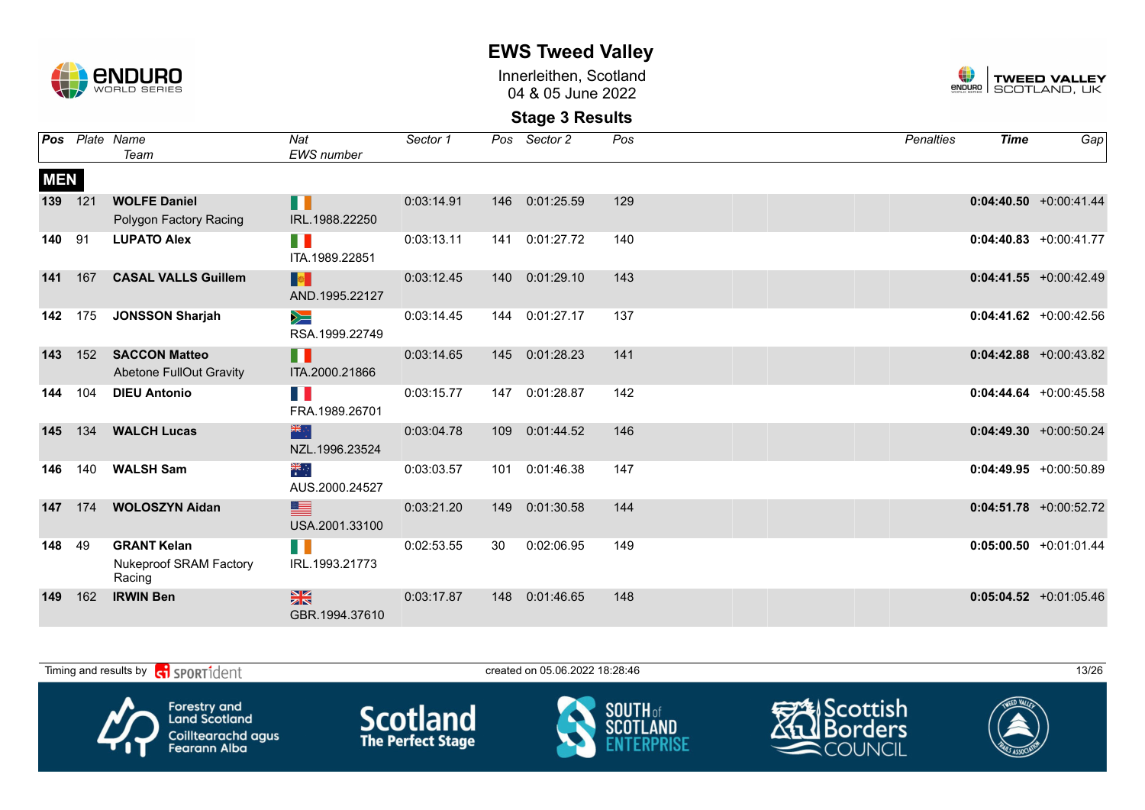

Innerleithen, Scotland 04 & 05 June 2022



|            |     | <b>Pos</b> Plate Name<br>Team                          | Nat<br><b>EWS</b> number        | Sector 1   |     | Pos Sector 2 | Pos | <b>Penalties</b> | <b>Time</b> | Gap                       |
|------------|-----|--------------------------------------------------------|---------------------------------|------------|-----|--------------|-----|------------------|-------------|---------------------------|
| <b>MEN</b> |     |                                                        |                                 |            |     |              |     |                  |             |                           |
| 139 121    |     | <b>WOLFE Daniel</b><br>Polygon Factory Racing          | H<br>IRL.1988.22250             | 0:03:14.91 | 146 | 0:01:25.59   | 129 |                  |             | $0:04:40.50$ +0:00:41.44  |
| 140        | 91  | <b>LUPATO Alex</b>                                     | W<br>ITA.1989.22851             | 0:03:13.11 | 141 | 0:01:27.72   | 140 |                  |             | $0:04:40.83$ +0:00:41.77  |
| 141        | 167 | <b>CASAL VALLS Guillem</b>                             | <b>De</b><br>AND.1995.22127     | 0:03:12.45 | 140 | 0:01:29.10   | 143 |                  |             | $0:04:41.55 + 0:00:42.49$ |
| 142        | 175 | <b>JONSSON Sharjah</b>                                 | $\geqslant$<br>RSA.1999.22749   | 0:03:14.45 | 144 | 0:01:27.17   | 137 |                  |             | $0:04:41.62 + 0:00:42.56$ |
| 143        | 152 | <b>SACCON Matteo</b><br><b>Abetone FullOut Gravity</b> | H.<br>ITA.2000.21866            | 0:03:14.65 | 145 | 0:01:28.23   | 141 |                  |             | $0:04:42.88$ +0:00:43.82  |
| 144        | 104 | <b>DIEU Antonio</b>                                    | <b>TIME</b><br>FRA.1989.26701   | 0:03:15.77 | 147 | 0:01:28.87   | 142 |                  |             | $0:04:44.64 + 0:00:45.58$ |
| 145        | 134 | <b>WALCH Lucas</b>                                     | 米克<br>NZL.1996.23524            | 0:03:04.78 | 109 | 0:01:44.52   | 146 |                  |             | $0:04:49.30 + 0:00:50.24$ |
| 146        | 140 | <b>WALSH Sam</b>                                       | ्र≋<br>भ<br>AUS.2000.24527      | 0:03:03.57 | 101 | 0:01:46.38   | 147 |                  |             | $0:04:49.95$ +0:00:50.89  |
| 147        | 174 | <b>WOLOSZYN Aidan</b>                                  | ▆<br>USA.2001.33100             | 0:03:21.20 | 149 | 0:01:30.58   | 144 |                  |             | $0:04:51.78$ +0:00:52.72  |
| 148        | 49  | <b>GRANT Kelan</b><br>Nukeproof SRAM Factory<br>Racing | H<br>IRL.1993.21773             | 0:02:53.55 | 30  | 0:02:06.95   | 149 |                  |             | $0:05:00.50 + 0:01:01.44$ |
| 149        | 162 | <b>IRWIN Ben</b>                                       | $\frac{N}{N}$<br>GBR.1994.37610 | 0:03:17.87 | 148 | 0:01:46.65   | 148 |                  |             | $0:05:04.52 + 0:01:05.46$ |

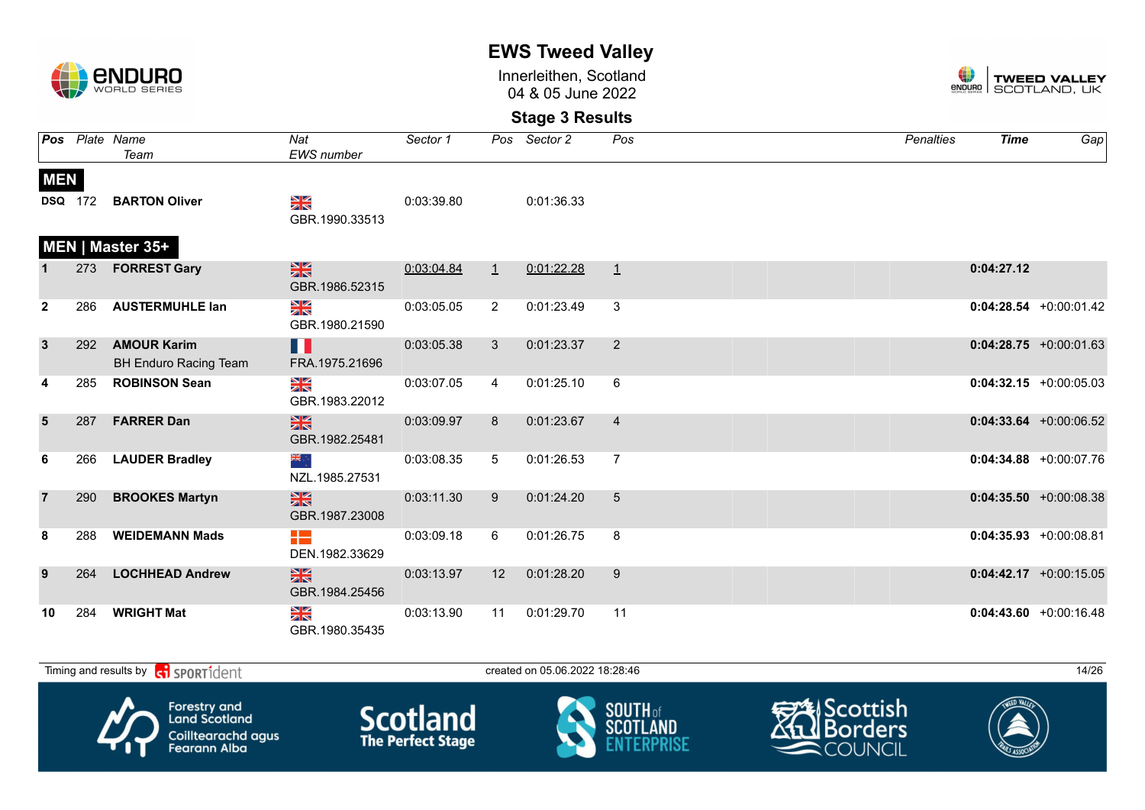

Innerleithen, Scotland 04 & 05 June 2022



|                |                | Pos Plate Name<br>Team                             | Nat<br>EWS number               | Sector 1   |                | Pos Sector 2 | Pos            | <b>Penalties</b> | <b>Time</b> | Gap                       |
|----------------|----------------|----------------------------------------------------|---------------------------------|------------|----------------|--------------|----------------|------------------|-------------|---------------------------|
| <b>MEN</b>     | <b>DSQ</b> 172 | <b>BARTON Oliver</b>                               | NK<br>ZK                        | 0:03:39.80 |                | 0:01:36.33   |                |                  |             |                           |
|                |                | MEN   Master 35+                                   | GBR.1990.33513                  |            |                |              |                |                  |             |                           |
|                | 273            | <b>FORREST Gary</b>                                | $\frac{N}{N}$<br>GBR.1986.52315 | 0:03:04.84 | $\perp$        | 0:01:22.28   | $\perp$        |                  | 0:04:27.12  |                           |
| $\mathbf{2}$   | 286            | <b>AUSTERMUHLE lan</b>                             | NK<br>ZK<br>GBR.1980.21590      | 0:03:05.05 | $\overline{2}$ | 0:01:23.49   | 3              |                  |             | $0:04:28.54 + 0:00:01.42$ |
| $\mathbf{3}$   | 292            | <b>AMOUR Karim</b><br><b>BH Enduro Racing Team</b> | Ш<br>FRA.1975.21696             | 0:03:05.38 | 3              | 0:01:23.37   | 2              |                  |             | $0:04:28.75$ +0:00:01.63  |
|                | 285            | <b>ROBINSON Sean</b>                               | ≫<br>X<br>GBR.1983.22012        | 0:03:07.05 | $\overline{4}$ | 0:01:25.10   | 6              |                  |             | $0:04:32.15 + 0:00:05.03$ |
| 5              | 287            | <b>FARRER Dan</b>                                  | $\frac{N}{N}$<br>GBR.1982.25481 | 0:03:09.97 | 8              | 0:01:23.67   | $\overline{4}$ |                  |             | $0:04:33.64$ +0:00:06.52  |
| 6              | 266            | <b>LAUDER Bradley</b>                              | ⊹, ak<br>NZL.1985.27531         | 0:03:08.35 | 5              | 0:01:26.53   | 7              |                  |             | $0:04:34.88$ +0:00:07.76  |
| $\overline{7}$ | 290            | <b>BROOKES Martyn</b>                              | $\frac{N}{N}$<br>GBR.1987.23008 | 0:03:11.30 | 9              | 0:01:24.20   | 5              |                  |             | $0:04:35.50 + 0:00:08.38$ |
| 8              | 288            | <b>WEIDEMANN Mads</b>                              | 12<br>DEN.1982.33629            | 0:03:09.18 | 6              | 0:01:26.75   | 8              |                  |             | $0:04:35.93 + 0:00:08.81$ |
| 9              | 264            | <b>LOCHHEAD Andrew</b>                             | $\frac{N}{N}$<br>GBR.1984.25456 | 0:03:13.97 | 12             | 0:01:28.20   | 9              |                  |             | $0:04:42.17$ +0:00:15.05  |
| 10             | 284            | <b>WRIGHT Mat</b>                                  | NK<br>ZK<br>GBR.1980.35435      | 0:03:13.90 | 11             | 0:01:29.70   | 11             |                  |             | $0:04:43.60 + 0:00:16.48$ |

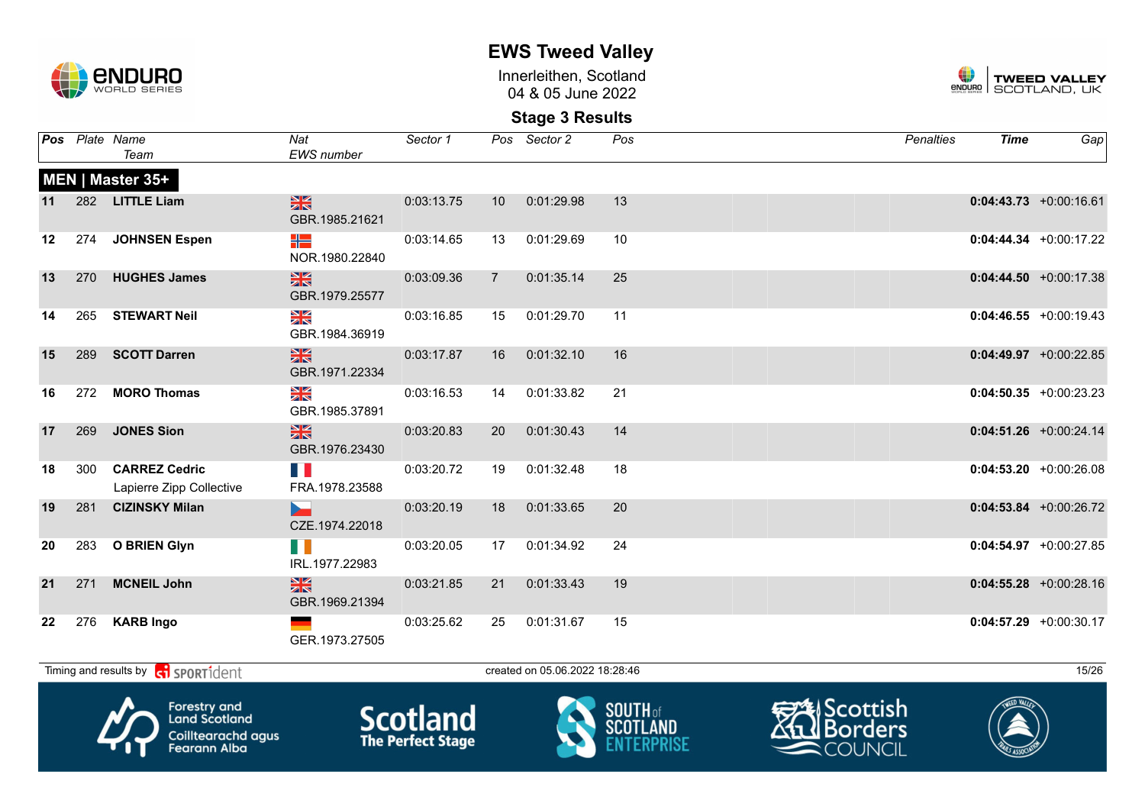

Innerleithen, Scotland 04 & 05 June 2022



**Stage 3 Results**

|    |     | <b>Pos</b> Plate Name<br>Team                                                                                         | Nat<br><b>EWS</b> number        | Sector 1   |                | Pos Sector 2                   | Pos                                                                                                                                                                                                                                  | <b>Penalties</b> | <b>Time</b>              | Gap                       |
|----|-----|-----------------------------------------------------------------------------------------------------------------------|---------------------------------|------------|----------------|--------------------------------|--------------------------------------------------------------------------------------------------------------------------------------------------------------------------------------------------------------------------------------|------------------|--------------------------|---------------------------|
|    |     | MEN   Master 35+                                                                                                      |                                 |            |                |                                |                                                                                                                                                                                                                                      |                  |                          |                           |
| 11 |     | 282 LITTLE Liam                                                                                                       | $\frac{N}{N}$<br>GBR.1985.21621 | 0:03:13.75 | 10             | 0:01:29.98                     | 13                                                                                                                                                                                                                                   |                  |                          | $0:04:43.73 + 0:00:16.61$ |
| 12 | 274 | <b>JOHNSEN Espen</b>                                                                                                  | ╬<br>NOR.1980.22840             | 0:03:14.65 | 13             | 0:01:29.69                     | 10                                                                                                                                                                                                                                   |                  |                          | $0:04:44.34$ +0:00:17.22  |
| 13 | 270 | <b>HUGHES James</b>                                                                                                   | $\frac{N}{N}$<br>GBR.1979.25577 | 0:03:09.36 | $\overline{7}$ | 0:01:35.14                     | 25                                                                                                                                                                                                                                   |                  |                          | $0:04:44.50 + 0:00:17.38$ |
| 14 | 265 | <b>STEWART Neil</b>                                                                                                   | XK<br>GBR.1984.36919            | 0:03:16.85 | 15             | 0:01:29.70                     | 11                                                                                                                                                                                                                                   |                  |                          | $0:04:46.55$ +0:00:19.43  |
| 15 | 289 | <b>SCOTT Darren</b>                                                                                                   | $\frac{N}{N}$<br>GBR.1971.22334 | 0:03:17.87 | 16             | 0:01:32.10                     | 16                                                                                                                                                                                                                                   |                  |                          | $0:04:49.97$ +0:00:22.85  |
| 16 | 272 | <b>MORO Thomas</b>                                                                                                    | XK<br>GBR.1985.37891            | 0:03:16.53 | 14             | 0:01:33.82                     | 21                                                                                                                                                                                                                                   |                  |                          | $0:04:50.35 +0:00:23.23$  |
| 17 | 269 | <b>JONES Sion</b>                                                                                                     | $\frac{N}{N}$<br>GBR.1976.23430 | 0:03:20.83 | 20             | 0:01:30.43                     | 14                                                                                                                                                                                                                                   |                  |                          | $0:04:51.26 + 0:00:24.14$ |
| 18 | 300 | <b>CARREZ Cedric</b><br>Lapierre Zipp Collective                                                                      | FRA.1978.23588                  | 0:03:20.72 | 19             | 0:01:32.48                     | 18                                                                                                                                                                                                                                   |                  |                          | $0:04:53.20 +0:00:26.08$  |
| 19 | 281 | <b>CIZINSKY Milan</b>                                                                                                 | CZE.1974.22018                  | 0:03:20.19 | 18             | 0:01:33.65                     | 20                                                                                                                                                                                                                                   |                  |                          | $0:04:53.84 + 0:00:26.72$ |
| 20 |     | 283 O BRIEN Glyn                                                                                                      | IRL.1977.22983                  | 0:03:20.05 | 17             | 0:01:34.92                     | 24                                                                                                                                                                                                                                   |                  |                          | $0:04:54.97$ +0:00:27.85  |
| 21 | 271 | <b>MCNEIL John</b>                                                                                                    | $\frac{N}{N}$<br>GBR.1969.21394 | 0:03:21.85 | 21             | 0:01:33.43                     | 19                                                                                                                                                                                                                                   |                  |                          | $0:04:55.28$ +0:00:28.16  |
| 22 | 276 | <b>KARB Ingo</b>                                                                                                      | GER.1973.27505                  | 0:03:25.62 | 25             | 0:01:31.67                     | 15                                                                                                                                                                                                                                   |                  |                          | $0:04:57.29$ +0:00:30.17  |
|    |     | Timing and results by contrident                                                                                      |                                 |            |                | created on 05.06.2022 18:28:46 |                                                                                                                                                                                                                                      |                  |                          | 15/26                     |
|    |     | <b>A</b> show the state of the state of the state of the state of the state of the state of the state of the state of |                                 |            |                |                                | <b>Contract Contract Contract Contract Contract Contract Contract Contract Contract Contract Contract Contract Contract Contract Contract Contract Contract Contract Contract Contract Contract Contract Contract Contract Contr</b> | $\frac{1}{2}$    | $T = \sqrt{\frac{1}{2}}$ |                           |









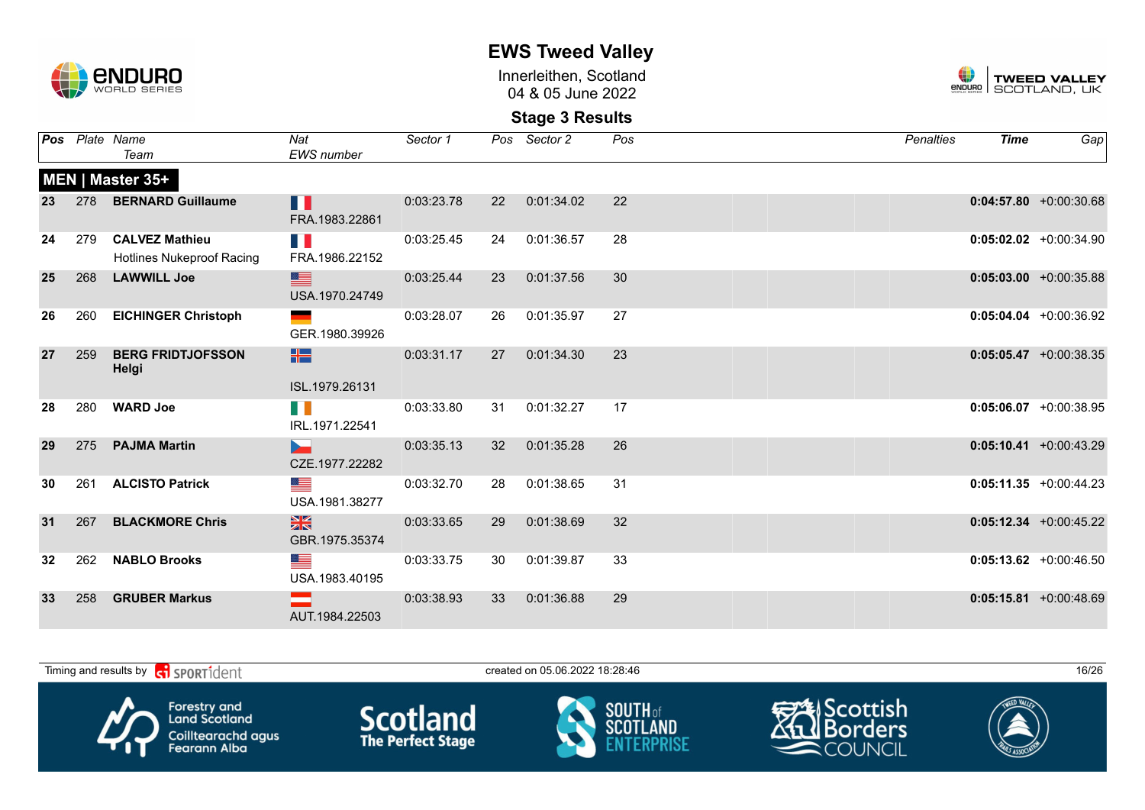

Innerleithen, Scotland 04 & 05 June 2022



|    |     | <b>Pos</b> Plate Name<br>Team                   | Nat<br><b>EWS</b> number                                    | Sector 1   |    | Pos Sector 2  | Pos | Penalties | <b>Time</b> | Gap                       |
|----|-----|-------------------------------------------------|-------------------------------------------------------------|------------|----|---------------|-----|-----------|-------------|---------------------------|
|    |     | MEN   Master 35+                                |                                                             |            |    |               |     |           |             |                           |
| 23 | 278 | <b>BERNARD Guillaume</b>                        | П<br>FRA.1983.22861                                         | 0:03:23.78 |    | 22 0:01:34.02 | 22  |           |             | $0:04:57.80 + 0:00:30.68$ |
| 24 |     | 279 CALVEZ Mathieu<br>Hotlines Nukeproof Racing | n a<br>FRA.1986.22152                                       | 0:03:25.45 | 24 | 0:01:36.57    | 28  |           |             | $0:05:02.02$ +0:00:34.90  |
| 25 |     | 268 LAWWILL Joe                                 | <u>se</u><br>USA.1970.24749                                 | 0:03:25.44 | 23 | 0:01:37.56    | 30  |           |             | $0:05:03.00 + 0:00:35.88$ |
| 26 | 260 | <b>EICHINGER Christoph</b>                      | GER.1980.39926                                              | 0:03:28.07 | 26 | 0:01:35.97    | 27  |           |             | $0:05:04.04$ +0:00:36.92  |
| 27 | 259 | <b>BERG FRIDTJOFSSON</b><br>Helgi               | H2  <br>ISL.1979.26131                                      | 0:03:31.17 |    | 27 0:01:34.30 | 23  |           |             | $0:05:05.47 + 0:00:38.35$ |
| 28 | 280 | <b>WARD Joe</b>                                 | HD N<br>IRL.1971.22541                                      | 0:03:33.80 | 31 | 0:01:32.27    | 17  |           |             | $0:05:06.07$ +0:00:38.95  |
| 29 |     | 275 PAJMA Martin                                | <b>Service Service</b><br>CZE.1977.22282                    | 0:03:35.13 |    | 32 0:01:35.28 | 26  |           |             | $0:05:10.41 + 0:00:43.29$ |
| 30 |     | 261 ALCISTO Patrick                             | <u>as a</u><br>USA.1981.38277                               | 0:03:32.70 | 28 | 0:01:38.65    | 31  |           |             | $0:05:11.35 + 0:00:44.23$ |
| 31 | 267 | <b>BLACKMORE Chris</b>                          | $\frac{N}{N}$<br>GBR.1975.35374                             | 0:03:33.65 | 29 | 0:01:38.69    | 32  |           |             | $0:05:12.34 +0:00:45.22$  |
| 32 | 262 | <b>NABLO Brooks</b>                             | <u>an a</u><br>USA.1983.40195                               | 0:03:33.75 | 30 | 0:01:39.87    | 33  |           |             | $0:05:13.62 +0:00:46.50$  |
| 33 | 258 | <b>GRUBER Markus</b>                            | <b>2000 - 2000 - 2000 - 2000 - 2000 -</b><br>AUT.1984.22503 | 0:03:38.93 | 33 | 0:01:36.88    | 29  |           |             | $0:05:15.81 + 0:00:48.69$ |

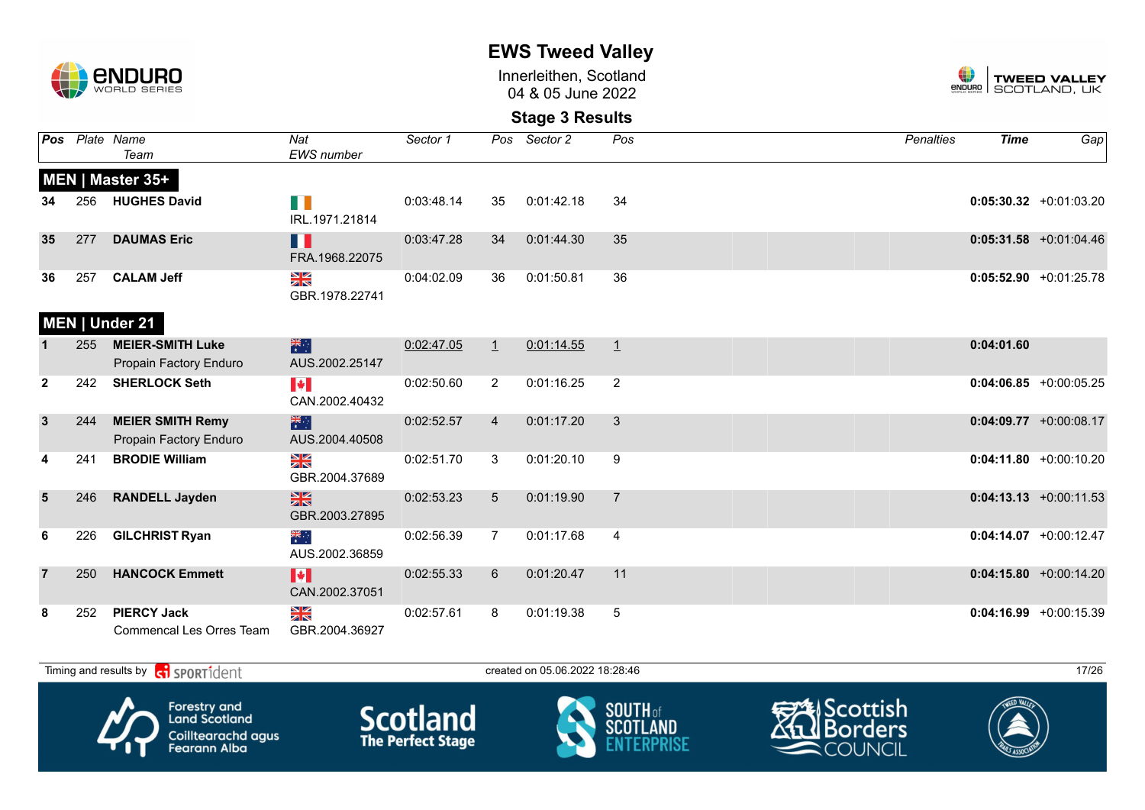

Innerleithen, Scotland 04 & 05 June 2022



|                |     | Pos Plate Name<br>Team                            | Nat<br><b>EWS</b> number                          | Sector 1   |                 | Pos Sector 2 | Pos            | <b>Penalties</b> | <b>Time</b> | Gap                       |
|----------------|-----|---------------------------------------------------|---------------------------------------------------|------------|-----------------|--------------|----------------|------------------|-------------|---------------------------|
|                |     | MEN   Master 35+                                  |                                                   |            |                 |              |                |                  |             |                           |
| 34             | 256 | <b>HUGHES David</b>                               | F D<br>IRL.1971.21814                             | 0:03:48.14 | 35              | 0:01:42.18   | 34             |                  |             | $0:05:30.32 +0:01:03.20$  |
| 35             | 277 | <b>DAUMAS Eric</b>                                | H<br>FRA.1968.22075                               | 0:03:47.28 | 34              | 0:01:44.30   | 35             |                  |             | $0:05:31.58$ +0:01:04.46  |
| 36             | 257 | <b>CALAM Jeff</b>                                 | $\frac{\mathbf{N}}{\mathbf{N}}$<br>GBR.1978.22741 | 0:04:02.09 | 36              | 0:01:50.81   | 36             |                  |             | $0:05:52.90 +0:01:25.78$  |
|                |     | MEN   Under 21                                    |                                                   |            |                 |              |                |                  |             |                           |
|                | 255 | <b>MEIER-SMITH Luke</b><br>Propain Factory Enduro | 米<br>AUS.2002.25147                               | 0:02:47.05 | $\perp$         | 0:01:14.55   | $\mathbf{1}$   | 0:04:01.60       |             |                           |
| $\mathbf{2}$   | 242 | <b>SHERLOCK Seth</b>                              | $\blacktriangleright$<br>CAN.2002.40432           | 0:02:50.60 | $\overline{2}$  | 0:01:16.25   | $\overline{2}$ |                  |             | $0:04:06.85$ +0:00:05.25  |
| $\mathbf{3}$   | 244 | <b>MEIER SMITH Remy</b><br>Propain Factory Enduro | 米<br>AUS.2004.40508                               | 0:02:52.57 | $\overline{4}$  | 0:01:17.20   | 3              |                  |             | $0:04:09.77$ +0:00:08.17  |
| 4              | 241 | <b>BRODIE William</b>                             | $\frac{N}{N}$<br>GBR.2004.37689                   | 0:02:51.70 | 3               | 0:01:20.10   | 9              |                  |             | $0:04:11.80 + 0:00:10.20$ |
| $5\phantom{1}$ | 246 | <b>RANDELL Jayden</b>                             | $\frac{N}{N}$<br>GBR.2003.27895                   | 0:02:53.23 | $5\phantom{.0}$ | 0:01:19.90   | $\overline{7}$ |                  |             | $0:04:13.13 + 0:00:11.53$ |
| 6              | 226 | <b>GILCHRIST Ryan</b>                             | ्हें<br>AUS.2002.36859                            | 0:02:56.39 | $\overline{7}$  | 0:01:17.68   | 4              |                  |             | $0:04:14.07$ +0:00:12.47  |
|                | 250 | <b>HANCOCK Emmett</b>                             | M<br>CAN.2002.37051                               | 0:02:55.33 | $6^{\circ}$     | 0:01:20.47   | 11             |                  |             | $0:04:15.80 + 0:00:14.20$ |
| 8              | 252 | <b>PIERCY Jack</b><br>Commencal Les Orres Team    | NK<br>ZK<br>GBR.2004.36927                        | 0:02:57.61 | 8               | 0:01:19.38   | 5              |                  |             | $0:04:16.99 + 0:00:15.39$ |

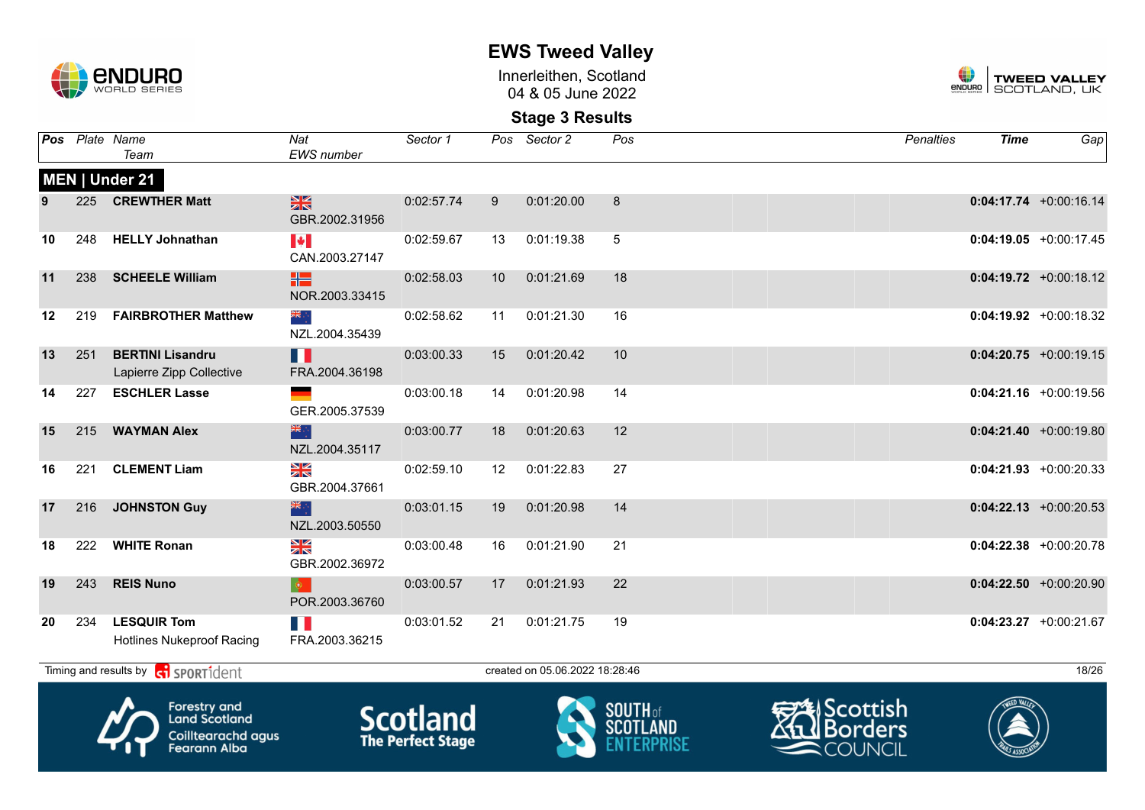

Innerleithen, Scotland 04 & 05 June 2022



| Pos |     | Plate Name<br>Team                                                                | Nat<br>EWS number                       | Sector 1                                    | Pos | Sector 2                       | Pos             | Penalties                                                 | <b>Time</b> | Gap                       |
|-----|-----|-----------------------------------------------------------------------------------|-----------------------------------------|---------------------------------------------|-----|--------------------------------|-----------------|-----------------------------------------------------------|-------------|---------------------------|
|     |     | MEN   Under 21                                                                    |                                         |                                             |     |                                |                 |                                                           |             |                           |
|     | 225 | <b>CREWTHER Matt</b>                                                              | $\frac{N}{N}$<br>GBR.2002.31956         | 0:02:57.74                                  | 9   | 0:01:20.00                     | 8               |                                                           |             | $0:04:17.74 +0:00:16.14$  |
| 10  | 248 | <b>HELLY Johnathan</b>                                                            | $\blacktriangleright$<br>CAN.2003.27147 | 0:02:59.67                                  | 13  | 0:01:19.38                     | $5\phantom{.0}$ |                                                           |             | $0:04:19.05$ +0:00:17.45  |
| 11  |     | 238 SCHEELE William                                                               | ₩<br>NOR.2003.33415                     | 0:02:58.03                                  | 10  | 0:01:21.69                     | 18              |                                                           |             | $0:04:19.72 + 0:00:18.12$ |
| 12  | 219 | <b>FAIRBROTHER Matthew</b>                                                        | ्रें≋<br>NZL.2004.35439                 | 0:02:58.62                                  | 11  | 0:01:21.30                     | 16              |                                                           |             | $0:04:19.92$ +0:00:18.32  |
| 13  | 251 | <b>BERTINI Lisandru</b><br>Lapierre Zipp Collective                               | Ш<br>FRA.2004.36198                     | 0:03:00.33                                  | 15  | 0:01:20.42                     | 10              |                                                           |             | $0:04:20.75$ +0:00:19.15  |
| 14  | 227 | <b>ESCHLER Lasse</b>                                                              | GER.2005.37539                          | 0:03:00.18                                  | 14  | 0:01:20.98                     | 14              |                                                           |             | $0:04:21.16 + 0:00:19.56$ |
| 15  | 215 | <b>WAYMAN Alex</b>                                                                | 米心<br>NZL.2004.35117                    | 0:03:00.77                                  | 18  | 0:01:20.63                     | 12              |                                                           |             | $0:04:21.40 +0:00:19.80$  |
| 16  | 221 | <b>CLEMENT Liam</b>                                                               | $\frac{N}{N}$<br>GBR.2004.37661         | 0:02:59.10                                  | 12  | 0:01:22.83                     | 27              |                                                           |             | $0:04:21.93$ +0:00:20.33  |
| 17  | 216 | <b>JOHNSTON Guy</b>                                                               | <b>SIR</b><br>NZL.2003.50550            | 0:03:01.15                                  | 19  | 0:01:20.98                     | 14              |                                                           |             | $0:04:22.13 + 0:00:20.53$ |
| 18  | 222 | <b>WHITE Ronan</b>                                                                | $\frac{N}{N}$<br>GBR.2002.36972         | 0:03:00.48                                  | 16  | 0:01:21.90                     | 21              |                                                           |             | $0:04:22.38$ +0:00:20.78  |
| 19  | 243 | <b>REIS Nuno</b>                                                                  | POR.2003.36760                          | 0:03:00.57                                  | 17  | 0:01:21.93                     | 22              |                                                           |             | $0:04:22.50$ +0:00:20.90  |
| 20  | 234 | <b>LESQUIR Tom</b><br>Hotlines Nukeproof Racing                                   | M.<br>FRA.2003.36215                    | 0:03:01.52                                  | 21  | 0:01:21.75                     | 19              |                                                           |             | $0:04:23.27 +0:00:21.67$  |
|     |     | Timing and results by ci sport ident                                              |                                         |                                             |     | created on 05.06.2022 18:28:46 |                 |                                                           |             | 18/26                     |
|     |     | Forestry and<br><b>Land Scotland</b><br>Coilltearachd agus<br><b>Fearann Alba</b> |                                         | <b>Scotland</b><br><b>The Perfect Stage</b> |     |                                | <b>SOUTH of</b> | <b>类IScottish</b><br><u>l</u> l Borders<br><b>COUNCIL</b> |             |                           |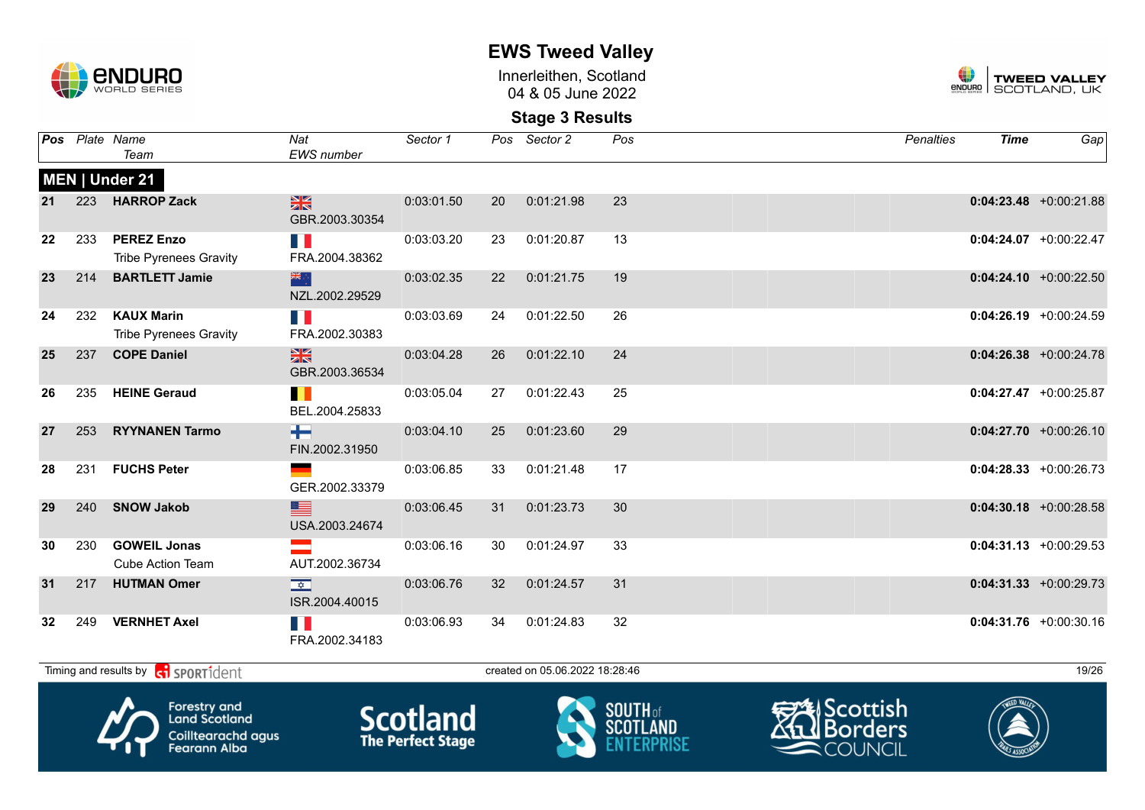

Innerleithen, Scotland 04 & 05 June 2022



### **Stage 3 Results**

|    |     | Pos Plate Name<br>Team                             | Nat<br><b>EWS</b> number               | Sector 1   |                 | Pos Sector 2                   | Pos | Penalties | <b>Time</b> | Gap                       |
|----|-----|----------------------------------------------------|----------------------------------------|------------|-----------------|--------------------------------|-----|-----------|-------------|---------------------------|
|    |     | MEN   Under 21                                     |                                        |            |                 |                                |     |           |             |                           |
| 21 |     | 223 HARROP Zack                                    | 黑<br>GBR.2003.30354                    | 0:03:01.50 | 20              | 0:01:21.98                     | 23  |           |             | $0:04:23.48$ +0:00:21.88  |
| 22 | 233 | <b>PEREZ Enzo</b><br><b>Tribe Pyrenees Gravity</b> | n n<br>FRA.2004.38362                  | 0:03:03.20 | 23              | 0:01:20.87                     | 13  |           |             | $0:04:24.07$ +0:00:22.47  |
| 23 | 214 | <b>BARTLETT Jamie</b>                              | 米亭<br>NZL.2002.29529                   | 0:03:02.35 | <b>22</b>       | 0:01:21.75                     | 19  |           |             | $0:04:24.10 + 0:00:22.50$ |
| 24 | 232 | <b>KAUX Marin</b><br><b>Tribe Pyrenees Gravity</b> | $\mathbb{R}^n$<br>FRA.2002.30383       | 0:03:03.69 | 24              | 0:01:22.50                     | 26  |           |             | $0:04:26.19 + 0:00:24.59$ |
| 25 | 237 | <b>COPE Daniel</b>                                 | $\frac{N}{N}$<br>GBR.2003.36534        | 0:03:04.28 | 26              | 0:01:22.10                     | 24  |           |             | $0:04:26.38$ +0:00:24.78  |
| 26 | 235 | <b>HEINE Geraud</b>                                | H<br>BEL.2004.25833                    | 0:03:05.04 | 27              | 0:01:22.43                     | 25  |           |             | $0:04:27.47 +0:00:25.87$  |
| 27 | 253 | <b>RYYNANEN Tarmo</b>                              | ۰<br>FIN.2002.31950                    | 0:03:04.10 | 25              | 0:01:23.60                     | 29  |           |             | $0:04:27.70 + 0:00:26.10$ |
| 28 | 231 | <b>FUCHS Peter</b>                                 | GER.2002.33379                         | 0:03:06.85 | 33              | 0:01:21.48                     | 17  |           |             | $0:04:28.33 + 0:00:26.73$ |
| 29 | 240 | <b>SNOW Jakob</b>                                  | ▇<br>USA.2003.24674                    | 0:03:06.45 | 31              | 0:01:23.73                     | 30  |           |             | $0:04:30.18$ +0:00:28.58  |
| 30 | 230 | <b>GOWEIL Jonas</b><br><b>Cube Action Team</b>     | AUT.2002.36734                         | 0:03:06.16 | 30              | 0:01:24.97                     | 33  |           |             | $0:04:31.13 + 0:00:29.53$ |
| 31 | 217 | <b>HUTMAN Omer</b>                                 | $\frac{1}{\sqrt{2}}$<br>ISR.2004.40015 | 0:03:06.76 | 32 <sup>2</sup> | 0:01:24.57                     | 31  |           |             | $0:04:31.33 + 0:00:29.73$ |
| 32 | 249 | <b>VERNHET Axel</b>                                | n p<br>FRA.2002.34183                  | 0:03:06.93 | 34              | 0:01:24.83                     | 32  |           |             | $0:04:31.76$ +0:00:30.16  |
|    |     | Timing and results by <b>contains and results</b>  |                                        |            |                 | created on 05.06.2022 18:28:46 |     |           |             | 19/26                     |









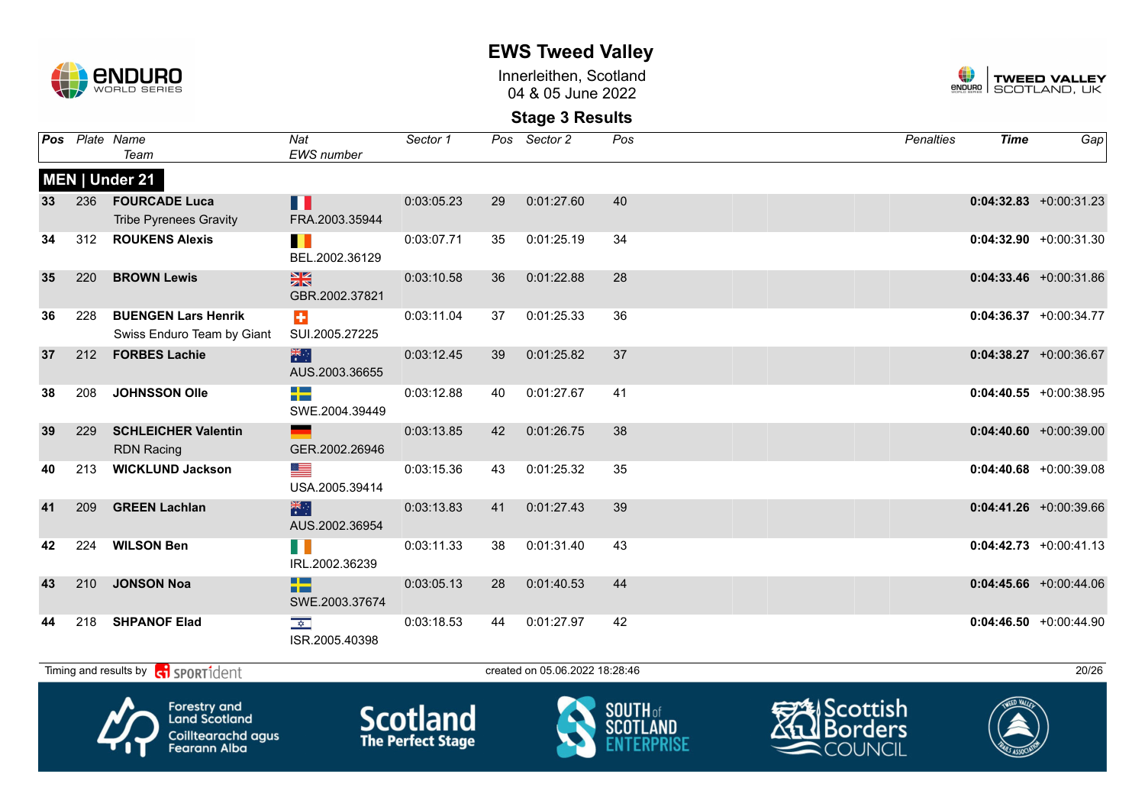

Innerleithen, Scotland 04 & 05 June 2022



**Stage 3 Results**

| Pos |     | Plate Name<br>Team                                       | Nat<br><b>EWS</b> number               | Sector 1   |    | Pos Sector 2                   | Pos |                      | <b>Penalties</b> | <b>Time</b>     | Gap                       |
|-----|-----|----------------------------------------------------------|----------------------------------------|------------|----|--------------------------------|-----|----------------------|------------------|-----------------|---------------------------|
|     |     | MEN   Under 21                                           |                                        |            |    |                                |     |                      |                  |                 |                           |
| 33  | 236 | <b>FOURCADE Luca</b><br><b>Tribe Pyrenees Gravity</b>    | Ш<br>FRA.2003.35944                    | 0:03:05.23 | 29 | 0:01:27.60                     | 40  |                      |                  |                 | $0:04:32.83 + 0:00:31.23$ |
| 34  | 312 | <b>ROUKENS Alexis</b>                                    | Ш<br>BEL.2002.36129                    | 0:03:07.71 | 35 | 0:01:25.19                     | 34  |                      |                  |                 | $0:04:32.90 +0:00:31.30$  |
| 35  | 220 | <b>BROWN Lewis</b>                                       | $\frac{2}{3}$<br>GBR.2002.37821        | 0:03:10.58 | 36 | 0:01:22.88                     | 28  |                      |                  |                 | $0:04:33.46 + 0:00:31.86$ |
| 36  | 228 | <b>BUENGEN Lars Henrik</b><br>Swiss Enduro Team by Giant | $\ddot{\phantom{1}}$<br>SUI.2005.27225 | 0:03:11.04 | 37 | 0:01:25.33                     | 36  |                      |                  |                 | $0:04:36.37 +0:00:34.77$  |
| 37  | 212 | <b>FORBES Lachie</b>                                     | 米<br>AUS.2003.36655                    | 0:03:12.45 | 39 | 0:01:25.82                     | 37  |                      |                  |                 | $0:04:38.27 +0:00:36.67$  |
| 38  | 208 | <b>JOHNSSON Olle</b>                                     | ┿<br>SWE.2004.39449                    | 0:03:12.88 | 40 | 0:01:27.67                     | 41  |                      |                  |                 | $0:04:40.55$ +0:00:38.95  |
| 39  | 229 | <b>SCHLEICHER Valentin</b><br><b>RDN Racing</b>          | GER.2002.26946                         | 0:03:13.85 | 42 | 0:01:26.75                     | 38  |                      |                  |                 | $0:04:40.60$ +0:00:39.00  |
| 40  | 213 | <b>WICKLUND Jackson</b>                                  | ▀<br>USA.2005.39414                    | 0:03:15.36 | 43 | 0:01:25.32                     | 35  |                      |                  |                 | $0:04:40.68$ +0:00:39.08  |
| 41  | 209 | <b>GREEN Lachlan</b>                                     | 米<br>AUS.2002.36954                    | 0:03:13.83 | 41 | 0:01:27.43                     | 39  |                      |                  |                 | $0:04:41.26 + 0:00:39.66$ |
| 42  | 224 | <b>WILSON Ben</b>                                        | H II<br>IRL.2002.36239                 | 0:03:11.33 | 38 | 0:01:31.40                     | 43  |                      |                  |                 | $0:04:42.73$ +0:00:41.13  |
| 43  | 210 | <b>JONSON Noa</b>                                        | 22<br>SWE.2003.37674                   | 0:03:05.13 | 28 | 0:01:40.53                     | 44  |                      |                  |                 | $0:04:45.66$ +0:00:44.06  |
| 44  | 218 | <b>SHPANOF Elad</b>                                      | $\frac{1}{2}$<br>ISR.2005.40398        | 0:03:18.53 | 44 | 0:01:27.97                     | 42  |                      |                  |                 | $0:04:46.50 + 0:00:44.90$ |
|     |     | Timing and results by <b>c</b> i <b>SPORT1</b> dent      |                                        |            |    | created on 05.06.2022 18:28:46 |     |                      |                  |                 | 20/26                     |
|     |     | $\blacksquare$                                           |                                        |            |    | $\sim$                         |     | $\sim$ $\sim$ $\sim$ |                  | $\sqrt{2\pi m}$ |                           |









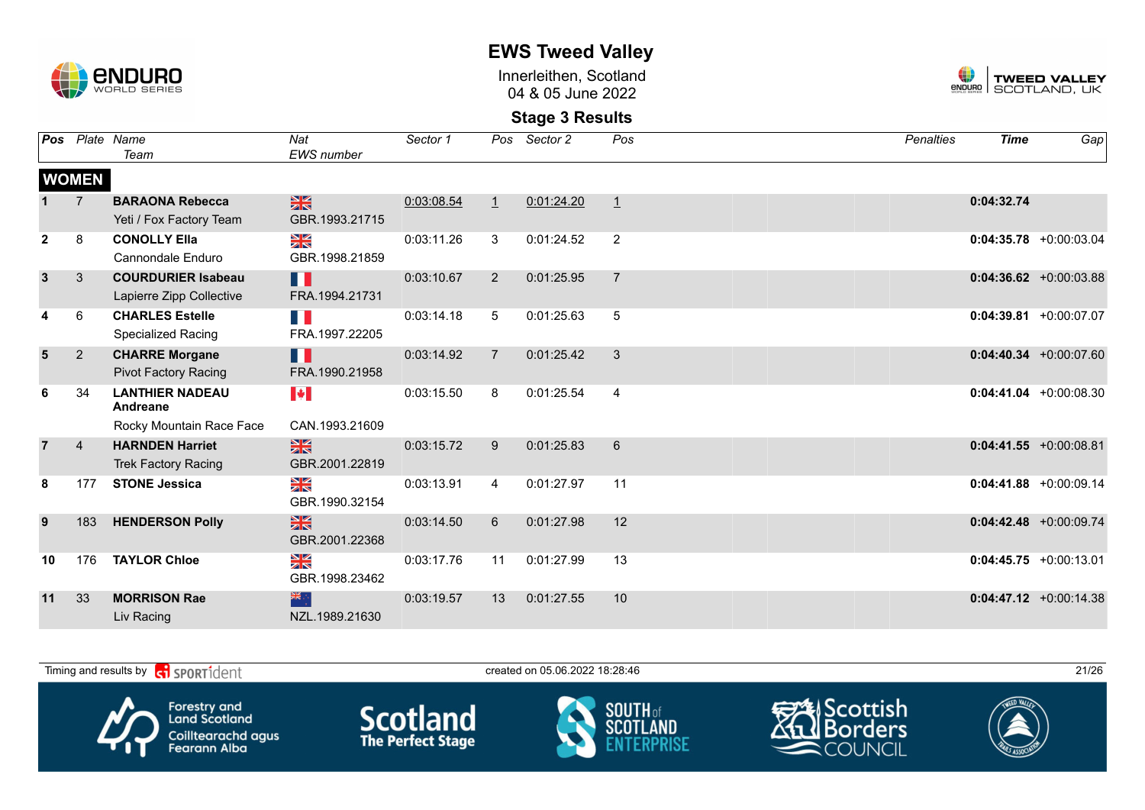

Innerleithen, Scotland 04 & 05 June 2022



| <b>Pos</b>     |                | Plate Name                         | Nat                   | Sector 1   | Pos            | Sector 2   | Pos            | <b>Penalties</b> | <b>Time</b> | Gap                       |
|----------------|----------------|------------------------------------|-----------------------|------------|----------------|------------|----------------|------------------|-------------|---------------------------|
|                |                | Team                               | <b>EWS</b> number     |            |                |            |                |                  |             |                           |
|                | <b>WOMEN</b>   |                                    |                       |            |                |            |                |                  |             |                           |
|                |                | <b>BARAONA Rebecca</b>             | $\frac{N}{N}$         | 0:03:08.54 | $\perp$        | 0:01:24.20 | $\mathbf{1}$   |                  | 0:04:32.74  |                           |
|                |                | Yeti / Fox Factory Team            | GBR.1993.21715        |            |                |            |                |                  |             |                           |
| $\mathbf{2}$   | 8              | <b>CONOLLY Ella</b>                | N<br>X                | 0:03:11.26 | 3              | 0:01:24.52 | 2              |                  |             | $0:04:35.78$ +0:00:03.04  |
|                |                | Cannondale Enduro                  | GBR.1998.21859        |            |                |            |                |                  |             |                           |
| $\mathbf{3}$   | 3              | <b>COURDURIER Isabeau</b>          | Ш                     | 0:03:10.67 | $\overline{2}$ | 0:01:25.95 | $\overline{7}$ |                  |             | $0:04:36.62 + 0:00:03.88$ |
|                |                | Lapierre Zipp Collective           | FRA.1994.21731        |            |                |            |                |                  |             |                           |
|                | 6              | <b>CHARLES Estelle</b>             | n ji                  | 0:03:14.18 | 5              | 0:01:25.63 | 5              |                  |             | $0:04:39.81$ +0:00:07.07  |
|                |                | Specialized Racing                 | FRA.1997.22205        |            |                |            |                |                  |             |                           |
| $5\phantom{1}$ | $\overline{2}$ | <b>CHARRE Morgane</b>              | H                     | 0:03:14.92 | $\overline{7}$ | 0:01:25.42 | 3              |                  |             | $0:04:40.34$ +0:00:07.60  |
|                |                | <b>Pivot Factory Racing</b>        | FRA.1990.21958        |            |                |            |                |                  |             |                           |
| 6              | 34             | <b>LANTHIER NADEAU</b><br>Andreane | $\blacktriangleright$ | 0:03:15.50 | 8              | 0:01:25.54 | $\overline{4}$ |                  |             | $0:04:41.04 + 0:00:08.30$ |
|                |                | Rocky Mountain Race Face           | CAN.1993.21609        |            |                |            |                |                  |             |                           |
| $\overline{7}$ | $\overline{4}$ | <b>HARNDEN Harriet</b>             | $\frac{N}{N}$         | 0:03:15.72 | 9              | 0:01:25.83 | 6              |                  |             | $0:04:41.55$ +0:00:08.81  |
|                |                | <b>Trek Factory Racing</b>         | GBR.2001.22819        |            |                |            |                |                  |             |                           |
| 8              | 177            | <b>STONE Jessica</b>               | XK                    | 0:03:13.91 | 4              | 0:01:27.97 | 11             |                  |             | $0:04:41.88$ +0:00:09.14  |
|                |                |                                    | GBR.1990.32154        |            |                |            |                |                  |             |                           |
| 9              | 183            | <b>HENDERSON Polly</b>             | $\frac{N}{N}$         | 0:03:14.50 | 6              | 0:01:27.98 | 12             |                  |             | $0:04:42.48$ +0:00:09.74  |
|                |                |                                    | GBR.2001.22368        |            |                |            |                |                  |             |                           |
| 10             | 176            | <b>TAYLOR Chloe</b>                | ≥k                    | 0:03:17.76 | 11             | 0:01:27.99 | 13             |                  |             | $0:04:45.75 + 0:00:13.01$ |
|                |                |                                    | GBR.1998.23462        |            |                |            |                |                  |             |                           |
| 11             | 33             | <b>MORRISON Rae</b>                | 米                     | 0:03:19.57 | 13             | 0:01:27.55 | 10             |                  |             | $0:04:47.12 +0:00:14.38$  |
|                |                | Liv Racing                         | NZL.1989.21630        |            |                |            |                |                  |             |                           |

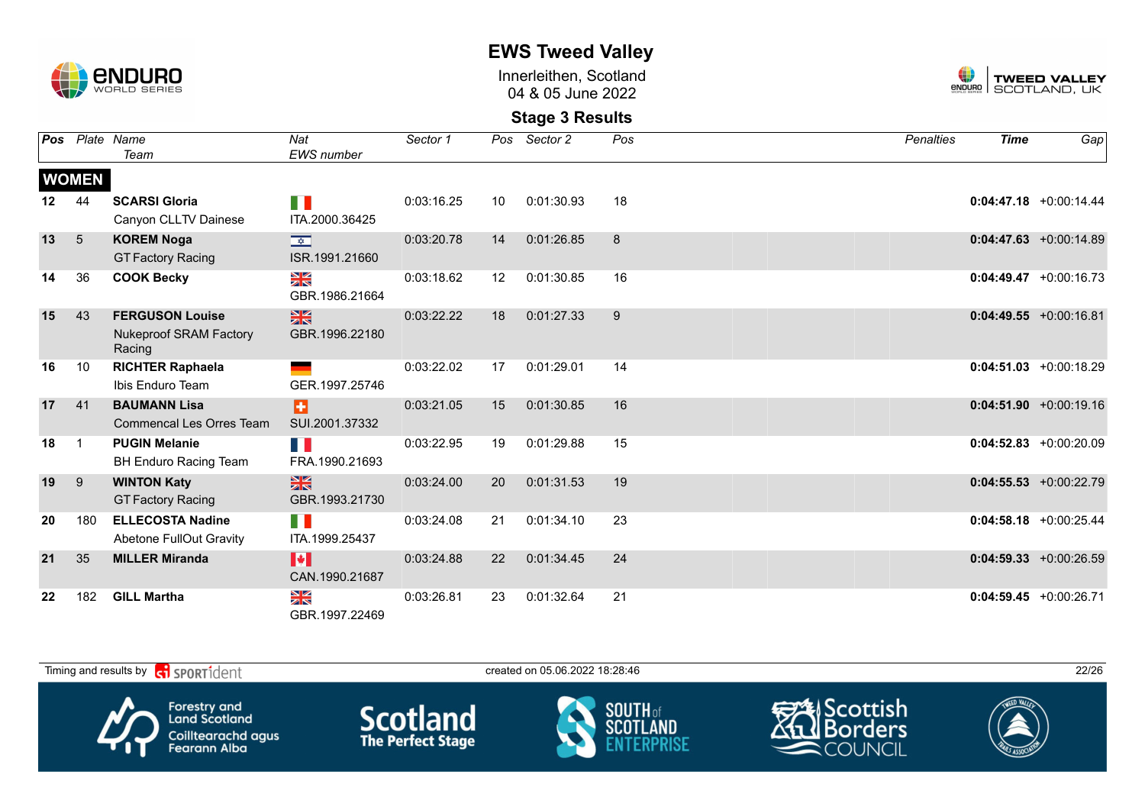

Innerleithen, Scotland 04 & 05 June 2022



| Pos |                 | Plate Name                              | Nat                      | Sector 1   | Pos | Sector 2   | Pos | <b>Penalties</b> | <b>Time</b> | Gap                       |
|-----|-----------------|-----------------------------------------|--------------------------|------------|-----|------------|-----|------------------|-------------|---------------------------|
|     |                 | Team                                    | <b>EWS</b> number        |            |     |            |     |                  |             |                           |
|     | <b>WOMEN</b>    |                                         |                          |            |     |            |     |                  |             |                           |
| 12  | 44              | <b>SCARSI Gloria</b>                    | H                        | 0:03:16.25 | 10  | 0:01:30.93 | 18  |                  |             | $0:04:47.18$ +0:00:14.44  |
|     |                 | Canyon CLLTV Dainese                    | ITA.2000.36425           |            |     |            |     |                  |             |                           |
| 13  | $5\overline{)}$ | <b>KOREM Noga</b>                       | $\frac{1}{\sqrt{2}}$     | 0:03:20.78 | 14  | 0:01:26.85 | 8   |                  |             | $0:04:47.63 + 0:00:14.89$ |
|     |                 | <b>GT Factory Racing</b>                | ISR.1991.21660           |            |     |            |     |                  |             |                           |
| 14  | 36              | <b>COOK Becky</b>                       | N<br>X                   | 0:03:18.62 | 12  | 0:01:30.85 | 16  |                  |             | $0:04:49.47 + 0:00:16.73$ |
|     |                 |                                         | GBR.1986.21664           |            |     |            |     |                  |             |                           |
| 15  | 43              | <b>FERGUSON Louise</b>                  | $\frac{N}{N}$            | 0:03:22.22 | 18  | 0:01:27.33 | 9   |                  |             | $0:04:49.55 + 0:00:16.81$ |
|     |                 | <b>Nukeproof SRAM Factory</b><br>Racing | GBR.1996.22180           |            |     |            |     |                  |             |                           |
| 16  | 10              | <b>RICHTER Raphaela</b>                 |                          | 0:03:22.02 | 17  | 0:01:29.01 | 14  |                  |             | $0:04:51.03 + 0:00:18.29$ |
|     |                 | Ibis Enduro Team                        | GER.1997.25746           |            |     |            |     |                  |             |                           |
| 17  | 41              | <b>BAUMANN Lisa</b>                     | Ð                        | 0:03:21.05 | 15  | 0:01:30.85 | 16  |                  |             | $0:04:51.90 + 0:00:19.16$ |
|     |                 | <b>Commencal Les Orres Team</b>         | SUI.2001.37332           |            |     |            |     |                  |             |                           |
| 18  | $\overline{1}$  | <b>PUGIN Melanie</b>                    | n K                      | 0:03:22.95 | 19  | 0:01:29.88 | 15  |                  |             | $0:04:52.83 + 0:00:20.09$ |
|     |                 | <b>BH Enduro Racing Team</b>            | FRA.1990.21693           |            |     |            |     |                  |             |                           |
| 19  | 9               | <b>WINTON Katy</b>                      | $\frac{N}{N}$            | 0:03:24.00 | 20  | 0:01:31.53 | 19  |                  |             | $0:04:55.53 + 0:00:22.79$ |
|     |                 | <b>GT Factory Racing</b>                | GBR.1993.21730           |            |     |            |     |                  |             |                           |
| 20  | 180             | <b>ELLECOSTA Nadine</b>                 | H I                      | 0:03:24.08 | 21  | 0:01:34.10 | 23  |                  |             | $0:04:58.18$ +0:00:25.44  |
|     |                 | Abetone FullOut Gravity                 | ITA.1999.25437           |            |     |            |     |                  |             |                           |
| 21  | 35              | <b>MILLER Miranda</b>                   | M<br>CAN.1990.21687      | 0:03:24.88 | 22  | 0:01:34.45 | 24  |                  |             | $0:04:59.33 + 0:00:26.59$ |
| 22  | 182             | <b>GILL Martha</b>                      | N<br>X<br>GBR.1997.22469 | 0:03:26.81 | 23  | 0:01:32.64 | 21  |                  |             | $0:04:59.45 + 0:00:26.71$ |

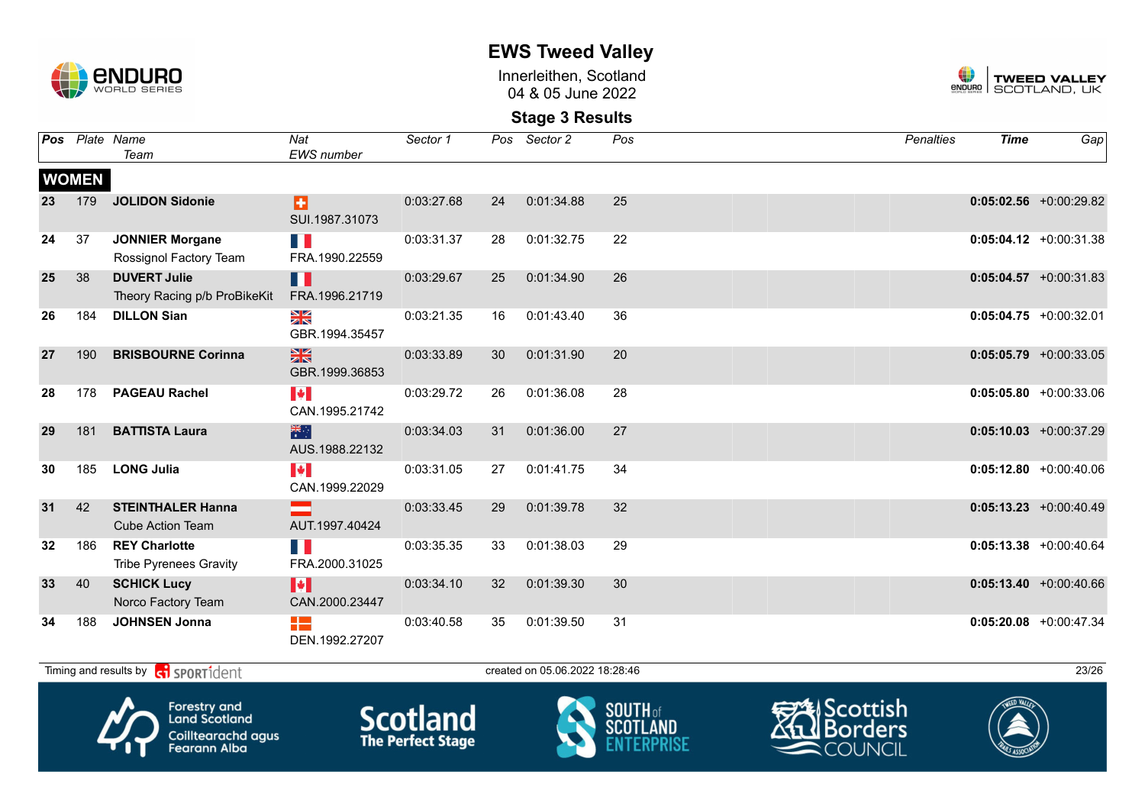

Innerleithen, Scotland 04 & 05 June 2022



### **Stage 3 Results**

|    |              | Pos Plate Name<br>Team                                | Nat<br><b>EWS</b> number                   | Sector 1   | Pos | Sector 2   | Pos | <b>Penalties</b> | <b>Time</b> | Gap                       |
|----|--------------|-------------------------------------------------------|--------------------------------------------|------------|-----|------------|-----|------------------|-------------|---------------------------|
|    | <b>WOMEN</b> |                                                       |                                            |            |     |            |     |                  |             |                           |
| 23 | 179          | <b>JOLIDON Sidonie</b>                                | Ð<br>SUI.1987.31073                        | 0:03:27.68 | 24  | 0:01:34.88 | 25  |                  |             | $0:05:02.56$ +0:00:29.82  |
| 24 | 37           | <b>JONNIER Morgane</b><br>Rossignol Factory Team      | H.<br>FRA.1990.22559                       | 0:03:31.37 | 28  | 0:01:32.75 | 22  |                  |             | $0:05:04.12 + 0:00:31.38$ |
| 25 | 38           | <b>DUVERT Julie</b><br>Theory Racing p/b ProBikeKit   | П<br>FRA.1996.21719                        | 0:03:29.67 | 25  | 0:01:34.90 | 26  |                  |             | $0:05:04.57 + 0:00:31.83$ |
| 26 | 184          | <b>DILLON Sian</b>                                    | N<br>X<br>GBR.1994.35457                   | 0:03:21.35 | 16  | 0:01:43.40 | 36  |                  |             | $0:05:04.75 + 0:00:32.01$ |
| 27 | 190          | <b>BRISBOURNE Corinna</b>                             | $\frac{N}{N}$<br>GBR.1999.36853            | 0:03:33.89 | 30  | 0:01:31.90 | 20  |                  |             | $0:05:05.79$ +0:00:33.05  |
| 28 | 178          | <b>PAGEAU Rachel</b>                                  | $\left\  \cdot \right\ $<br>CAN.1995.21742 | 0:03:29.72 | 26  | 0:01:36.08 | 28  |                  |             | $0:05:05.80 + 0:00:33.06$ |
| 29 | 181          | <b>BATTISTA Laura</b>                                 | 米<br>AUS.1988.22132                        | 0:03:34.03 | 31  | 0:01:36.00 | 27  |                  |             | $0:05:10.03 + 0:00:37.29$ |
| 30 | 185          | <b>LONG Julia</b>                                     | $\blacktriangleright$<br>CAN.1999.22029    | 0:03:31.05 | 27  | 0:01:41.75 | 34  |                  |             | $0:05:12.80 + 0:00:40.06$ |
| 31 | 42           | <b>STEINTHALER Hanna</b><br><b>Cube Action Team</b>   | AUT.1997.40424                             | 0:03:33.45 | 29  | 0:01:39.78 | 32  |                  |             | $0:05:13.23 + 0:00:40.49$ |
| 32 | 186          | <b>REY Charlotte</b><br><b>Tribe Pyrenees Gravity</b> | H I<br>FRA.2000.31025                      | 0:03:35.35 | 33  | 0:01:38.03 | 29  |                  |             | $0:05:13.38$ +0:00:40.64  |
| 33 | 40           | <b>SCHICK Lucy</b><br>Norco Factory Team              | $\blacktriangleright$<br>CAN.2000.23447    | 0:03:34.10 | 32  | 0:01:39.30 | 30  |                  |             | $0:05:13.40 + 0:00:40.66$ |
| 34 | 188          | <b>JOHNSEN Jonna</b>                                  | H٣<br>DEN.1992.27207                       | 0:03:40.58 | 35  | 0:01:39.50 | 31  |                  |             | $0:05:20.08$ +0:00:47.34  |

Timing and results by contract of the SPORT10 created on 05.06.2022 18:28:46 23/26









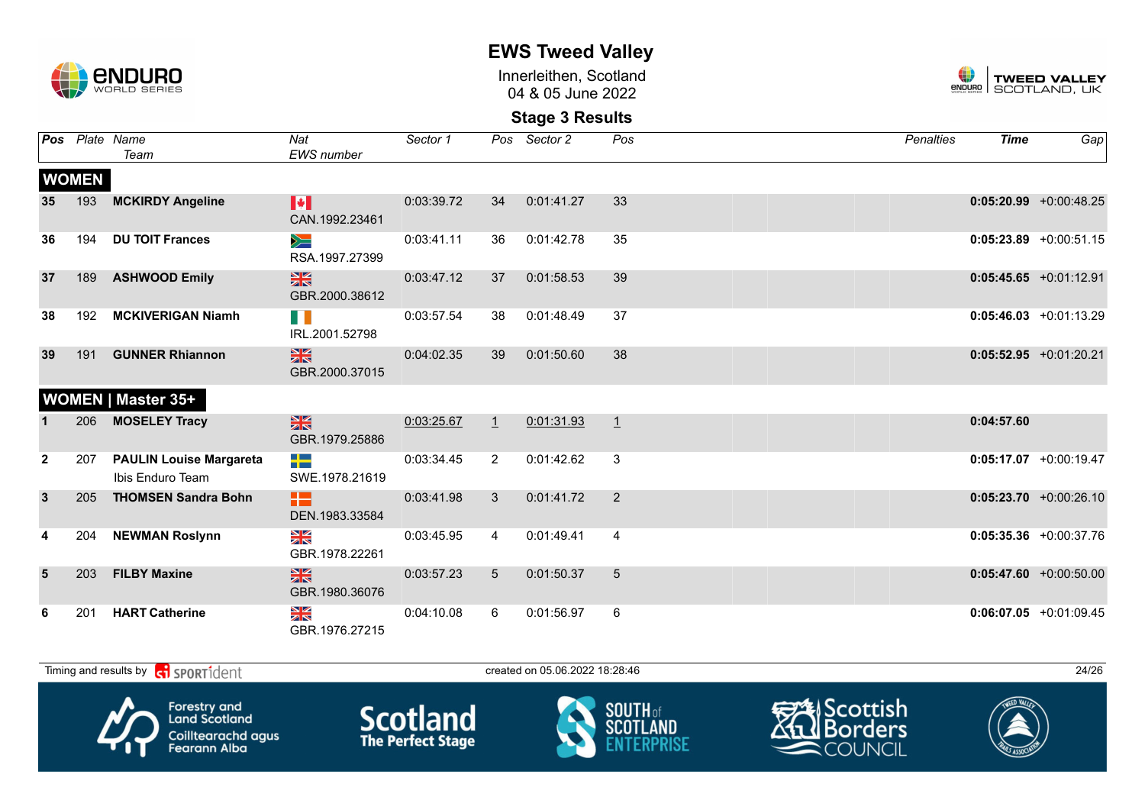

Innerleithen, Scotland 04 & 05 June 2022



|              |              | Pos Plate Name<br>Team                             | Nat<br><b>EWS</b> number                | Sector 1   |                | Pos Sector 2 | Pos            | <b>Penalties</b> | <b>Time</b> | Gap                       |
|--------------|--------------|----------------------------------------------------|-----------------------------------------|------------|----------------|--------------|----------------|------------------|-------------|---------------------------|
|              | <b>WOMEN</b> |                                                    |                                         |            |                |              |                |                  |             |                           |
| 35           | 193          | <b>MCKIRDY Angeline</b>                            | $\blacktriangleright$<br>CAN.1992.23461 | 0:03:39.72 | 34             | 0:01:41.27   | 33             |                  |             | $0:05:20.99$ +0:00:48.25  |
| 36           | 194          | <b>DU TOIT Frances</b>                             | $\geqslant$<br>RSA.1997.27399           | 0:03:41.11 | 36             | 0:01:42.78   | 35             |                  |             | $0:05:23.89$ +0:00:51.15  |
| 37           | 189          | <b>ASHWOOD Emily</b>                               | $\frac{N}{N}$<br>GBR.2000.38612         | 0:03:47.12 | 37             | 0:01:58.53   | 39             |                  |             | $0:05:45.65 + 0:01:12.91$ |
| 38           | 192          | <b>MCKIVERIGAN Niamh</b>                           | H.<br>IRL.2001.52798                    | 0:03:57.54 | 38             | 0:01:48.49   | 37             |                  |             | $0:05:46.03 +0:01:13.29$  |
| 39           | 191          | <b>GUNNER Rhiannon</b>                             | $\frac{N}{N}$<br>GBR.2000.37015         | 0:04:02.35 | 39             | 0:01:50.60   | 38             |                  |             | $0:05:52.95$ +0:01:20.21  |
|              |              | <b>WOMEN   Master 35+</b>                          |                                         |            |                |              |                |                  |             |                           |
|              | 206          | <b>MOSELEY Tracy</b>                               | $\frac{N}{N}$<br>GBR.1979.25886         | 0:03:25.67 | $\mathbf{1}$   | 0:01:31.93   | $\perp$        |                  | 0:04:57.60  |                           |
| $\mathbf{2}$ | 207          | <b>PAULIN Louise Margareta</b><br>Ibis Enduro Team | ╇<br>SWE.1978.21619                     | 0:03:34.45 | $\overline{2}$ | 0:01:42.62   | 3              |                  |             | $0:05:17.07$ +0:00:19.47  |
| $\mathbf{3}$ | 205          | <b>THOMSEN Sandra Bohn</b>                         | 82.<br>DEN.1983.33584                   | 0:03:41.98 | $\mathbf{3}$   | 0:01:41.72   | 2              |                  |             | $0:05:23.70$ +0:00:26.10  |
| 4            | 204          | <b>NEWMAN Roslynn</b>                              | N<br>ZK<br>GBR.1978.22261               | 0:03:45.95 | $\overline{4}$ | 0:01:49.41   | $\overline{4}$ |                  |             | $0:05:35.36$ +0:00:37.76  |
| 5            | 203          | <b>FILBY Maxine</b>                                | $\frac{N}{N}$<br>GBR.1980.36076         | 0:03:57.23 | $5^{\circ}$    | 0:01:50.37   | 5              |                  |             | $0:05:47.60 + 0:00:50.00$ |
|              | 201          | <b>HART Catherine</b>                              | $\frac{N}{N}$<br>GBR.1976.27215         | 0:04:10.08 | 6              | 0:01:56.97   | 6              |                  |             | $0:06:07.05 +0:01:09.45$  |

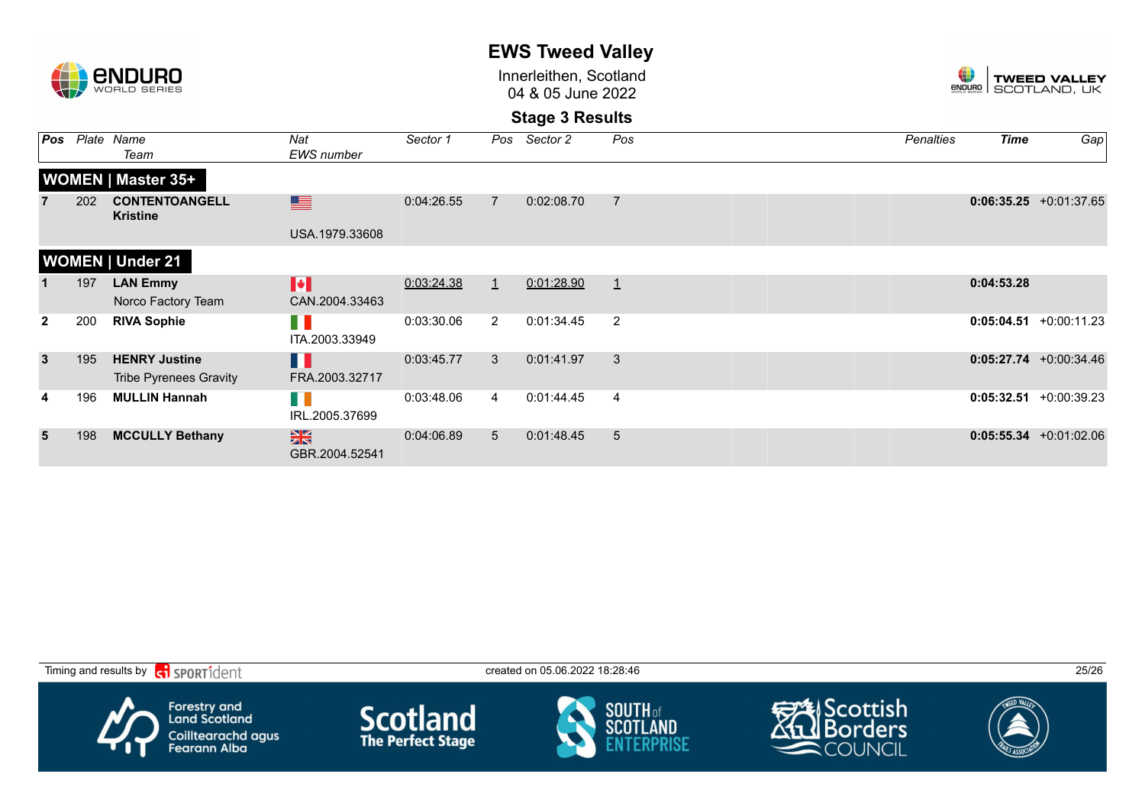|               |     |                                                       |                                         |            |                | <b>LIIO IWGGU VAIIGY</b>                    |                  |                    |                                     |                           |  |
|---------------|-----|-------------------------------------------------------|-----------------------------------------|------------|----------------|---------------------------------------------|------------------|--------------------|-------------------------------------|---------------------------|--|
| <b>CNDURO</b> |     |                                                       |                                         |            |                | Innerleithen, Scotland<br>04 & 05 June 2022 |                  | ŧ<br><b>ENDURO</b> | <b>TWEED VALLEY</b><br>SCOTLAND, UK |                           |  |
|               |     |                                                       |                                         |            |                | <b>Stage 3 Results</b>                      |                  |                    |                                     |                           |  |
| Pos           |     | Plate Name<br>Team                                    | Nat<br><b>EWS</b> number                | Sector 1   | Pos            | Sector 2                                    | Pos              | Penalties          | <b>Time</b>                         | Gap                       |  |
|               |     | <b>WOMEN   Master 35+</b>                             |                                         |            |                |                                             |                  |                    |                                     |                           |  |
|               | 202 | <b>CONTENTOANGELL</b><br><b>Kristine</b>              | ▆                                       | 0:04:26.55 | $\overline{7}$ | 0:02:08.70                                  | $\overline{7}$   |                    |                                     | $0:06:35.25 +0:01:37.65$  |  |
|               |     |                                                       | USA.1979.33608                          |            |                |                                             |                  |                    |                                     |                           |  |
|               |     | <b>WOMEN   Under 21</b>                               |                                         |            |                |                                             |                  |                    |                                     |                           |  |
|               | 197 | <b>LAN Emmy</b><br>Norco Factory Team                 | $\blacktriangleright$<br>CAN.2004.33463 | 0:03:24.38 | $\mathbf{1}$   | 0:01:28.90                                  | $\perp$          |                    | 0:04:53.28                          |                           |  |
| $\mathbf{2}$  | 200 | <b>RIVA Sophie</b>                                    | H N<br>ITA.2003.33949                   | 0:03:30.06 | $\overline{2}$ | 0:01:34.45                                  | $\overline{2}$   |                    |                                     | $0:05:04.51$ +0:00:11.23  |  |
| $\mathbf{3}$  | 195 | <b>HENRY Justine</b><br><b>Tribe Pyrenees Gravity</b> | H<br>FRA.2003.32717                     | 0:03:45.77 | 3              | 0:01:41.97                                  | 3                |                    |                                     | $0:05:27.74$ +0:00:34.46  |  |
|               | 196 | <b>MULLIN Hannah</b>                                  | HI N<br>IRL.2005.37699                  | 0:03:48.06 | 4              | 0:01:44.45                                  | $\boldsymbol{4}$ |                    |                                     | $0:05:32.51 + 0:00:39.23$ |  |
| 5             | 198 | <b>MCCULLY Bethany</b>                                | $\frac{N}{N}$<br>GBR.2004.52541         | 0:04:06.89 | 5 <sup>5</sup> | 0:01:48.45                                  | 5                |                    |                                     | $0:05:55.34 +0:01:02.06$  |  |